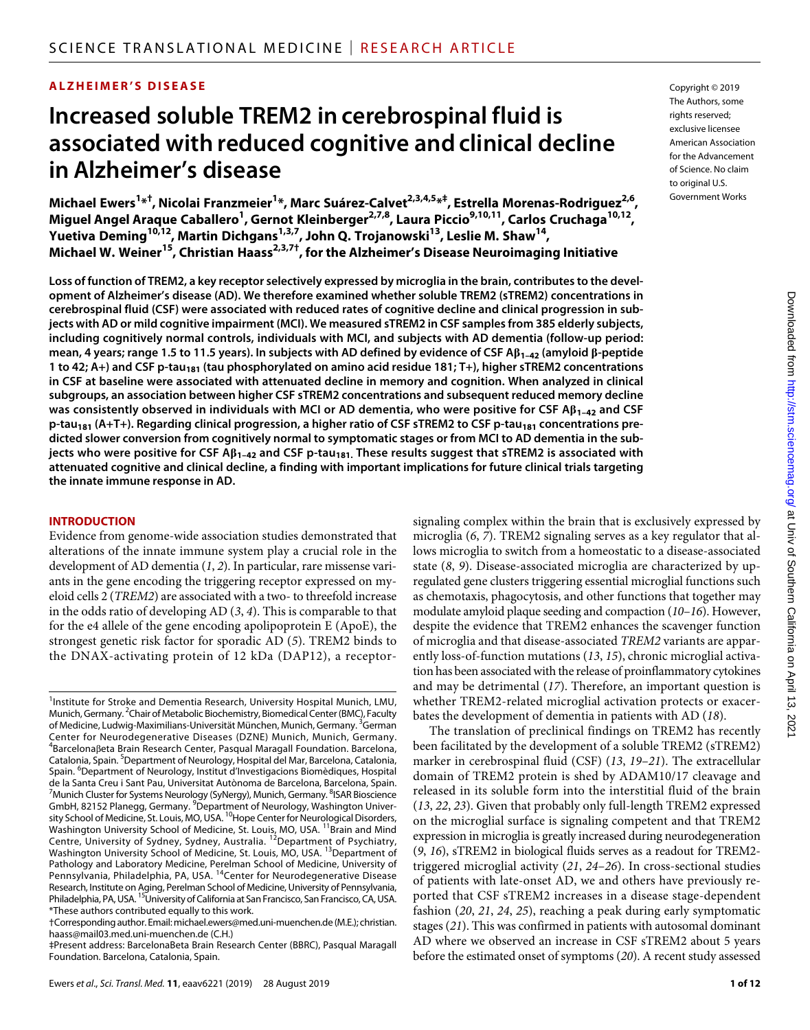### **ALZHEIMER'S DISEASE**

# **Increased soluble TREM2 in cerebrospinal fluid is associated with reduced cognitive and clinical decline in Alzheimer's disease**

 $\mathsf{Michael}\ \mathsf{Ewers}^{1*^{\dagger}}, \mathsf{Nicolai}\ \mathsf{Franzmeier}^{1*}, \mathsf{Marc}\ \mathsf{Suárez-Calvet}^{2,3,4,5*^{\dagger}}, \mathsf{Estrella}\ \mathsf{Morenas-Rodriguez}^{2,6},$ **Miguel Angel Araque Caballero1 , Gernot Kleinberger2,7,8, Laura Piccio9,10,11, Carlos Cruchaga10,12, Yuetiva Deming10,12, Martin Dichgans1,3,7, John Q. Trojanowski13, Leslie M. Shaw14, Michael W. Weiner15, Christian Haass2,3,7†, for the Alzheimer's Disease Neuroimaging Initiative**

**Loss of function of TREM2, a key receptor selectively expressed by microglia in the brain, contributes to the development of Alzheimer's disease (AD). We therefore examined whether soluble TREM2 (sTREM2) concentrations in cerebrospinal fluid (CSF) were associated with reduced rates of cognitive decline and clinical progression in subjects with AD or mild cognitive impairment (MCI). We measured sTREM2 in CSF samples from 385 elderly subjects, including cognitively normal controls, individuals with MCI, and subjects with AD dementia (follow-up period: mean, 4 years; range 1.5 to 11.5 years). In subjects with AD defined by evidence of CSF A1–42 (amyloid -peptide 1 to 42; A+) and CSF p-tau<sub>181</sub> (tau phosphorylated on amino acid residue 181; T+), higher sTREM2 concentrations in CSF at baseline were associated with attenuated decline in memory and cognition. When analyzed in clinical subgroups, an association between higher CSF sTREM2 concentrations and subsequent reduced memory decline was consistently observed in individuals with MCI or AD dementia, who were positive for CSF A1–42 and CSF p-tau181 (A+T+). Regarding clinical progression, a higher ratio of CSF sTREM2 to CSF p-tau181 concentrations predicted slower conversion from cognitively normal to symptomatic stages or from MCI to AD dementia in the subjects who were positive for CSF A1–42 and CSF p-tau181. These results suggest that sTREM2 is associated with attenuated cognitive and clinical decline, a finding with important implications for future clinical trials targeting the innate immune response in AD.**

#### **INTRODUCTION**

Evidence from genome-wide association studies demonstrated that alterations of the innate immune system play a crucial role in the development of AD dementia (*1*, *2*). In particular, rare missense variants in the gene encoding the triggering receptor expressed on myeloid cells 2 (*TREM2*) are associated with a two- to threefold increase in the odds ratio of developing AD (*3*, *4*). This is comparable to that for the e4 allele of the gene encoding apolipoprotein E (ApoE), the strongest genetic risk factor for sporadic AD (*5*). TREM2 binds to the DNAX-activating protein of 12 kDa (DAP12), a receptor-

signaling complex within the brain that is exclusively expressed by microglia (*6*, *7*). TREM2 signaling serves as a key regulator that allows microglia to switch from a homeostatic to a disease-associated state (*8*, *9*). Disease-associated microglia are characterized by upregulated gene clusters triggering essential microglial functions such as chemotaxis, phagocytosis, and other functions that together may modulate amyloid plaque seeding and compaction (*10*–*16*). However, despite the evidence that TREM2 enhances the scavenger function of microglia and that disease-associated *TREM2* variants are apparently loss-of-function mutations (*13*, *15*), chronic microglial activation has been associated with the release of proinflammatory cytokines and may be detrimental (*17*). Therefore, an important question is whether TREM2-related microglial activation protects or exacerbates the development of dementia in patients with AD (*18*).

The translation of preclinical findings on TREM2 has recently been facilitated by the development of a soluble TREM2 (sTREM2) marker in cerebrospinal fluid (CSF) (*13*, *19*–*21*). The extracellular domain of TREM2 protein is shed by ADAM10/17 cleavage and released in its soluble form into the interstitial fluid of the brain (*13*, *22*, *23*). Given that probably only full-length TREM2 expressed on the microglial surface is signaling competent and that TREM2 expression in microglia is greatly increased during neurodegeneration (*9*, *16*), sTREM2 in biological fluids serves as a readout for TREM2 triggered microglial activity (*21*, *24*–*26*). In cross-sectional studies of patients with late-onset AD, we and others have previously reported that CSF sTREM2 increases in a disease stage-dependent fashion (*20*, *21*, *24*, *25*), reaching a peak during early symptomatic stages (*21*). This was confirmed in patients with autosomal dominant AD where we observed an increase in CSF sTREM2 about 5 years before the estimated onset of symptoms (*20*). A recent study assessed

Copyright © 2019 The Authors, some rights reserved: exclusive licensee American Association for the Advancement of Science. No claim to original U.S. Government Works

<sup>&</sup>lt;sup>1</sup>Institute for Stroke and Dementia Research, University Hospital Munich, LMU, Munich, Germany.<sup>2</sup> Chair of Metabolic Biochemistry, Biomedical Center (BMC), Faculty of Medicine, Ludwig-Maximilians-Universität München, Munich, Germany. <sup>3</sup>German Center for Neurodegenerative Diseases (DZNE) Munich, Munich, Germany. <sup>4</sup>Barcelonaβeta Brain Research Center, Pasqual Maragall Foundation. Barcelona, Catalonia, Spain. <sup>5</sup>Department of Neurology, Hospital del Mar, Barcelona, Catalonia, Spain. <sup>6</sup>Department of Neurology, Institut d'Investigacions Biomèdiques, Hospital de la Santa Creu i Sant Pau, Universitat Autònoma de Barcelona, Barcelona, Spain. <sup>7</sup> Munich Cluster for Systems Neurology (SyNergy), Munich, Germany. <sup>8</sup>ISAR Bioscience GmbH, 82152 Planegg, Germany. <sup>9</sup>Department of Neurology, Washington University School of Medicine, St. Louis, MO, USA. <sup>10</sup>Hope Center for Neurological Disorders, Washington University School of Medicine, St. Louis, MO, USA. <sup>11</sup>Brain and Mind Centre, University of Sydney, Sydney, Australia. <sup>12</sup>Department of Psychiatry, Washington University School of Medicine, St. Louis, MO, USA. <sup>13</sup>Department of Pathology and Laboratory Medicine, Perelman School of Medicine, University of<br>Pennsylvania, Philadelphia, PA, USA. <sup>14</sup>Center for Neurodegenerative Disease Research, Institute on Aging, Perelman School of Medicine, University of Pennsylvania,<br>Philadelphia, PA, USA. <sup>15</sup>University of California at San Francisco, San Francisco, CA, USA. \*These authors contributed equally to this work.

<sup>†</sup>Corresponding author. Email: michael.ewers@med.uni-muenchen.de (M.E.); christian. haass@mail03.med.uni-muenchen.de (C.H.)

<sup>‡</sup>Present address: BarcelonaBeta Brain Research Center (BBRC), Pasqual Maragall Foundation. Barcelona, Catalonia, Spain.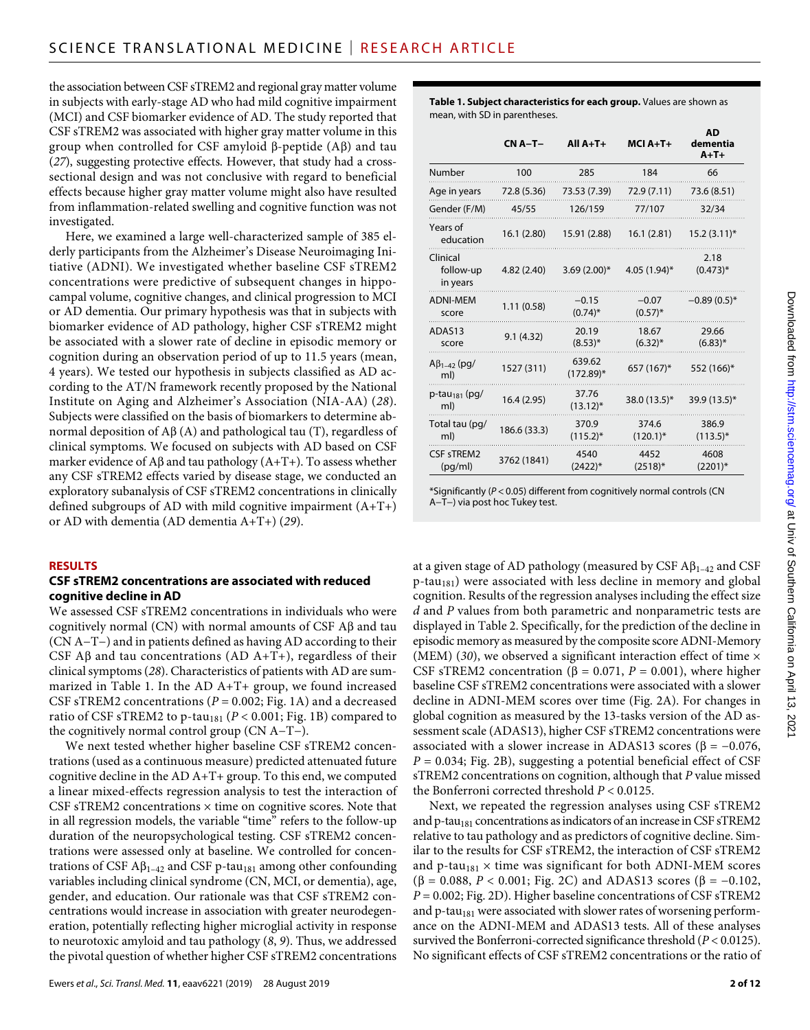the association between CSF sTREM2 and regional gray matter volume in subjects with early-stage AD who had mild cognitive impairment (MCI) and CSF biomarker evidence of AD. The study reported that CSF sTREM2 was associated with higher gray matter volume in this group when controlled for CSF amyloid  $\beta$ -peptide (A $\beta$ ) and tau (*27*), suggesting protective effects. However, that study had a crosssectional design and was not conclusive with regard to beneficial effects because higher gray matter volume might also have resulted from inflammation-related swelling and cognitive function was not investigated.

Here, we examined a large well-characterized sample of 385 elderly participants from the Alzheimer's Disease Neuroimaging Initiative (ADNI). We investigated whether baseline CSF sTREM2 concentrations were predictive of subsequent changes in hippocampal volume, cognitive changes, and clinical progression to MCI or AD dementia. Our primary hypothesis was that in subjects with biomarker evidence of AD pathology, higher CSF sTREM2 might be associated with a slower rate of decline in episodic memory or cognition during an observation period of up to 11.5 years (mean, 4 years). We tested our hypothesis in subjects classified as AD according to the AT/N framework recently proposed by the National Institute on Aging and Alzheimer's Association (NIA-AA) (*28*). Subjects were classified on the basis of biomarkers to determine abnormal deposition of  $\overrightarrow{AB}(A)$  and pathological tau (T), regardless of clinical symptoms. We focused on subjects with AD based on CSF marker evidence of  $\mathbf{A}\beta$  and tau pathology ( $\mathbf{A} + \mathbf{T} +$ ). To assess whether any CSF sTREM2 effects varied by disease stage, we conducted an exploratory subanalysis of CSF sTREM2 concentrations in clinically defined subgroups of AD with mild cognitive impairment (A+T+) or AD with dementia (AD dementia A+T+) (*29*).

#### **RESULTS**

#### **CSF sTREM2 concentrations are associated with reduced cognitive decline in AD**

We assessed CSF sTREM2 concentrations in individuals who were cognitively normal (CN) with normal amounts of CSF  $\mathbf{A}\mathbf{\beta}$  and tau (CN A−T−) and in patients defined as having AD according to their CSF A $\beta$  and tau concentrations (AD A+T+), regardless of their clinical symptoms (*28*). Characteristics of patients with AD are summarized in Table 1. In the AD A+T+ group, we found increased CSF sTREM2 concentrations (*P* = 0.002; Fig. 1A) and a decreased ratio of CSF sTREM2 to p-tau<sub>181</sub> ( $P < 0.001$ ; Fig. 1B) compared to the cognitively normal control group (CN A−T−).

We next tested whether higher baseline CSF sTREM2 concentrations (used as a continuous measure) predicted attenuated future cognitive decline in the AD A+T+ group. To this end, we computed a linear mixed-effects regression analysis to test the interaction of CSF sTREM2 concentrations  $\times$  time on cognitive scores. Note that in all regression models, the variable "time" refers to the follow-up duration of the neuropsychological testing. CSF sTREM2 concentrations were assessed only at baseline. We controlled for concentrations of CSF  $A\beta_{1-42}$  and CSF p-tau<sub>181</sub> among other confounding variables including clinical syndrome (CN, MCI, or dementia), age, gender, and education. Our rationale was that CSF sTREM2 concentrations would increase in association with greater neurodegeneration, potentially reflecting higher microglial activity in response to neurotoxic amyloid and tau pathology (*8*, *9*). Thus, we addressed the pivotal question of whether higher CSF sTREM2 concentrations

**Table 1. Subject characteristics for each group.** Values are shown as mean, with SD in parentheses.

|                                   | $CN A-T-$    | $All A+T+$             | $MCI A+T+$            | <b>AD</b><br>dementia<br>$A+T+$ |
|-----------------------------------|--------------|------------------------|-----------------------|---------------------------------|
| Number                            | 100          | 285                    | 184                   | 66                              |
| Age in years                      | 72.8 (5.36)  | 73.53 (7.39)           | 72.9 (7.11)           | 73.6 (8.51)                     |
| Gender (F/M)                      | 45/55        | 126/159                | 77/107                | 32/34                           |
| Years of<br>education             | 16.1(2.80)   | 15.91 (2.88)           | 16.1(2.81)            | $15.2(3.11)^{*}$                |
| Clinical<br>follow-up<br>in years | 4.82 (2.40)  | $3.69(2.00)*$          | 4.05 (1.94)*          | 2.18<br>$(0.473)^*$             |
| <b>ADNI-MEM</b><br>score          | 1.11(0.58)   | $-0.15$<br>$(0.74)$ *  | $-0.07$<br>$(0.57)^*$ | $-0.89(0.5)$ *                  |
| ADAS13<br>score                   | 9.1(4.32)    | 20.19<br>$(8.53)^*$    | 18.67<br>$(6.32)^{*}$ | 29.66<br>$(6.83)^*$             |
| $\mathsf{AB}_{1-42}$ (pg/<br>ml)  | 1527 (311)   | 639.62<br>$(172.89)^*$ | 657 (167)*            | 552 (166)*                      |
| p-tau <sub>181</sub> (pg/<br>ml)  | 16.4 (2.95)  | 37.76<br>$(13.12)^*$   | 38.0 (13.5)*          | 39.9 (13.5)*                    |
| Total tau (pg/<br>ml)             | 186.6 (33.3) | 370.9<br>$(115.2)^*$   | 374.6<br>$(120.1)^*$  | 386.9<br>$(113.5)^*$            |
| CSF sTREM2<br>(pq/ml)             | 3762 (1841)  | 4540<br>$(2422)^*$     | 4452<br>$(2518)^*$    | 4608<br>$(2201)^*$              |

\*Significantly (*P* < 0.05) different from cognitively normal controls (CN A−T−) via post hoc Tukey test.

at a given stage of AD pathology (measured by CSF  $\mathsf{AB}_{1-42}$  and CSF  $p$ -tau<sub>181</sub>) were associated with less decline in memory and global cognition. Results of the regression analyses including the effect size *d* and *P* values from both parametric and nonparametric tests are displayed in Table 2. Specifically, for the prediction of the decline in episodic memory as measured by the composite score ADNI-Memory (MEM) (30), we observed a significant interaction effect of time  $\times$ CSF sTREM2 concentration ( $\beta$  = 0.071, *P* = 0.001), where higher baseline CSF sTREM2 concentrations were associated with a slower decline in ADNI-MEM scores over time (Fig. 2A). For changes in global cognition as measured by the 13-tasks version of the AD assessment scale (ADAS13), higher CSF sTREM2 concentrations were associated with a slower increase in ADAS13 scores ( $\beta = -0.076$ , *P* = 0.034; Fig. 2B), suggesting a potential beneficial effect of CSF sTREM2 concentrations on cognition, although that *P* value missed the Bonferroni corrected threshold *P* < 0.0125.

Next, we repeated the regression analyses using CSF sTREM2 and p-tau<sub>181</sub> concentrations as indicators of an increase in CSF sTREM2 relative to tau pathology and as predictors of cognitive decline. Similar to the results for CSF sTREM2, the interaction of CSF sTREM2 and p-tau<sub>181</sub>  $\times$  time was significant for both ADNI-MEM scores  $(\beta = 0.088, P < 0.001;$  Fig. 2C) and ADAS13 scores ( $\beta = -0.102$ , *P* = 0.002; Fig. 2D). Higher baseline concentrations of CSF sTREM2 and  $p$ -tau<sub>181</sub> were associated with slower rates of worsening performance on the ADNI-MEM and ADAS13 tests. All of these analyses survived the Bonferroni-corrected significance threshold (*P* < 0.0125). No significant effects of CSF sTREM2 concentrations or the ratio of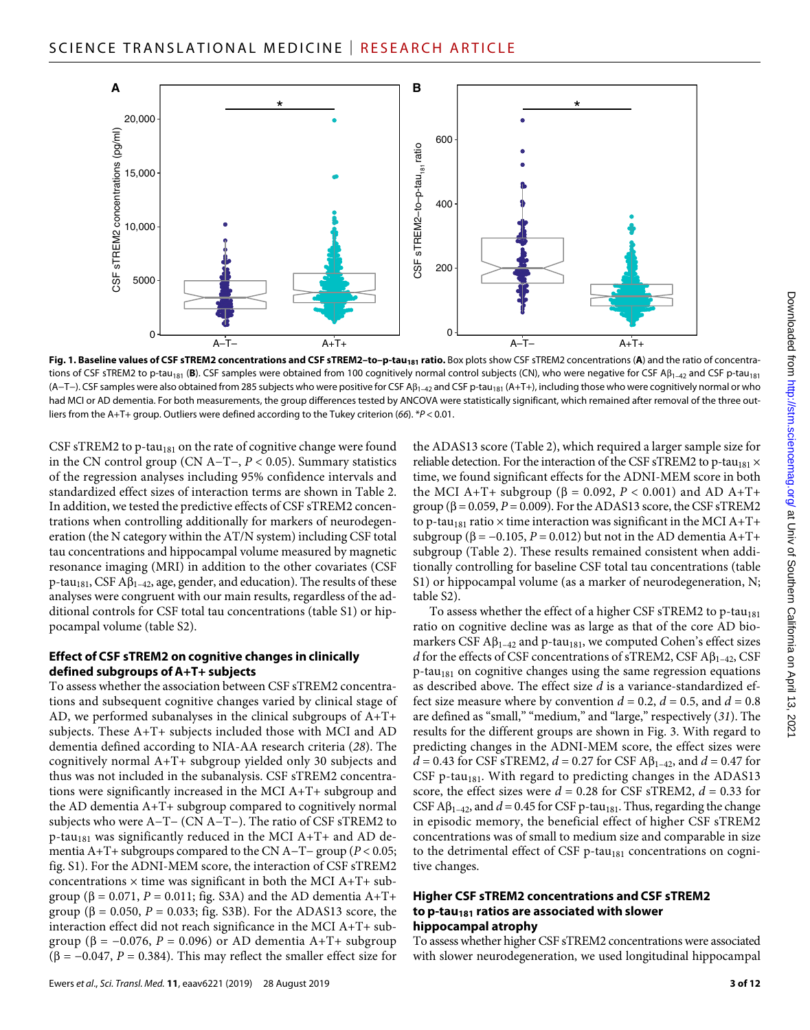

Fig. 1. Baseline values of CSF sTREM2 concentrations and CSF sTREM2-to-p-tau<sub>181</sub> ratio. Box plots show CSF sTREM2 concentrations (A) and the ratio of concentrations of CSF sTREM2 to p-tau<sub>181</sub> (B). CSF samples were obtained from 100 cognitively normal control subjects (CN), who were negative for CSF A $\beta_{1-42}$  and CSF p-tau<sub>181</sub> (A-T-). CSF samples were also obtained from 285 subjects who were positive for CSF Aβ<sub>1-42</sub> and CSF p-tau<sub>181</sub> (A+T+), including those who were cognitively normal or who had MCI or AD dementia. For both measurements, the group differences tested by ANCOVA were statistically significant, which remained after removal of the three outliers from the A+T+ group. Outliers were defined according to the Tukey criterion (*66*). \**P* < 0.01.

CSF sTREM2 to p-tau<sub>181</sub> on the rate of cognitive change were found in the CN control group (CN A−T−, *P* < 0.05). Summary statistics of the regression analyses including 95% confidence intervals and standardized effect sizes of interaction terms are shown in Table 2. In addition, we tested the predictive effects of CSF sTREM2 concentrations when controlling additionally for markers of neurodegeneration (the N category within the AT/N system) including CSF total tau concentrations and hippocampal volume measured by magnetic resonance imaging (MRI) in addition to the other covariates (CSF  $p$ -tau<sub>181</sub>, CSF A $\beta$ <sub>1–42</sub>, age, gender, and education). The results of these analyses were congruent with our main results, regardless of the additional controls for CSF total tau concentrations (table S1) or hippocampal volume (table S2).

#### **Effect of CSF sTREM2 on cognitive changes in clinically defined subgroups of A+T+ subjects**

To assess whether the association between CSF sTREM2 concentrations and subsequent cognitive changes varied by clinical stage of AD, we performed subanalyses in the clinical subgroups of A+T+ subjects. These A+T+ subjects included those with MCI and AD dementia defined according to NIA-AA research criteria (*28*). The cognitively normal A+T+ subgroup yielded only 30 subjects and thus was not included in the subanalysis. CSF sTREM2 concentrations were significantly increased in the MCI A+T+ subgroup and the AD dementia A+T+ subgroup compared to cognitively normal subjects who were A−T− (CN A−T−). The ratio of CSF sTREM2 to p-tau<sub>181</sub> was significantly reduced in the MCI A+T+ and AD dementia A+T+ subgroups compared to the CN A−T− group (*P* < 0.05; fig. S1). For the ADNI-MEM score, the interaction of CSF sTREM2 concentrations  $\times$  time was significant in both the MCI A+T+ subgroup ( $\beta$  = 0.071, *P* = 0.011; fig. S3A) and the AD dementia A+T+ group ( $\beta = 0.050$ ,  $P = 0.033$ ; fig. S3B). For the ADAS13 score, the interaction effect did not reach significance in the MCI A+T+ subgroup ( $\beta$  = -0.076, *P* = 0.096) or AD dementia A+T+ subgroup ( $\beta$  = -0.047, *P* = 0.384). This may reflect the smaller effect size for

Ewers *et al*., *Sci. Transl. Med.* **11**, eaav6221 (2019) 28 August 2019

the ADAS13 score (Table 2), which required a larger sample size for reliable detection. For the interaction of the CSF sTREM2 to p-tau<sub>181</sub>  $\times$ time, we found significant effects for the ADNI-MEM score in both the MCI A+T+ subgroup ( $\beta$  = 0.092, *P* < 0.001) and AD A+T+ group ( $\beta$  = 0.059, *P* = 0.009). For the ADAS13 score, the CSF sTREM2 to p-tau<sub>181</sub> ratio  $\times$  time interaction was significant in the MCI A+T+ subgroup ( $\beta$  = -0.105, *P* = 0.012) but not in the AD dementia A+T+ subgroup (Table 2). These results remained consistent when additionally controlling for baseline CSF total tau concentrations (table S1) or hippocampal volume (as a marker of neurodegeneration, N; table S2).

To assess whether the effect of a higher CSF sTREM2 to p-tau<sub>181</sub> ratio on cognitive decline was as large as that of the core AD biomarkers CSF  $\mathbf{A}\beta_{1-42}$  and p-tau<sub>181</sub>, we computed Cohen's effect sizes *d* for the effects of CSF concentrations of sTREM2, CSF  $\mathbf{A}\beta_{1-42}$ , CSF  $p$ -tau<sub>181</sub> on cognitive changes using the same regression equations as described above. The effect size *d* is a variance-standardized effect size measure where by convention  $d = 0.2$ ,  $d = 0.5$ , and  $d = 0.8$ are defined as "small," "medium," and "large," respectively (*31*). The results for the different groups are shown in Fig. 3. With regard to predicting changes in the ADNI-MEM score, the effect sizes were  $d = 0.43$  for CSF sTREM2,  $d = 0.27$  for CSF A $\beta_{1-42}$ , and  $d = 0.47$  for CSF p-tau $_{181}$ . With regard to predicting changes in the ADAS13 score, the effect sizes were  $d = 0.28$  for CSF sTREM2,  $d = 0.33$  for CSF A $\beta_{1-42}$ , and  $d = 0.45$  for CSF p-tau<sub>181</sub>. Thus, regarding the change in episodic memory, the beneficial effect of higher CSF sTREM2 concentrations was of small to medium size and comparable in size to the detrimental effect of CSF p-tau<sub>181</sub> concentrations on cognitive changes.

#### **Higher CSF sTREM2 concentrations and CSF sTREM2 to p-tau181 ratios are associated with slower hippocampal atrophy**

To assess whether higher CSF sTREM2 concentrations were associated with slower neurodegeneration, we used longitudinal hippocampal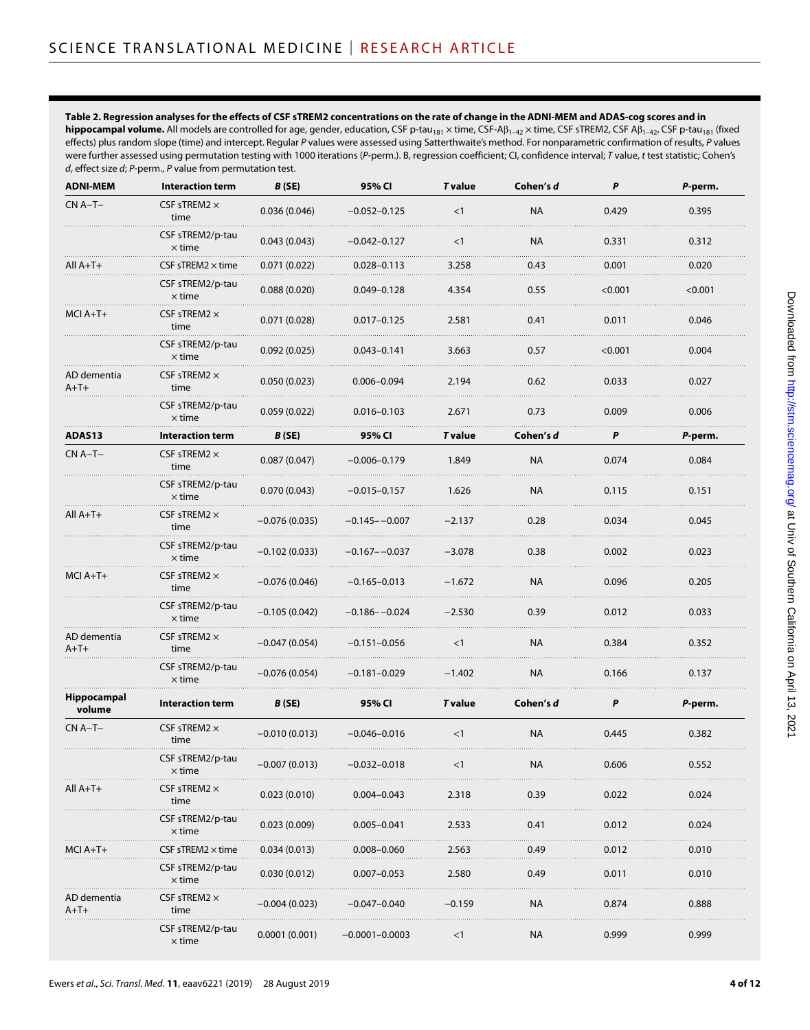#### **Table 2. Regression analyses for the effects of CSF sTREM2 concentrations on the rate of change in the ADNI-MEM and ADAS-cog scores and in**

hippocampal volume. All models are controlled for age, gender, education, CSF p-tau<sub>181</sub> × time, CSF-Aβ<sub>1-42</sub> × time, CSF sTREM2, CSF Aβ<sub>1-42</sub>, CSF p-tau<sub>181</sub> (fixed effects) plus random slope (time) and intercept. Regular *P* values were assessed using Satterthwaite's method. For nonparametric confirmation of results, *P* values were further assessed using permutation testing with 1000 iterations (*P*-perm.). B, regression coefficient; CI, confidence interval; *T* value, *t* test statistic; Cohen's *d*, effect size *d*; *P*-perm., *P* value from permutation test.

| <b>ADNI-MEM</b>       | <b>Interaction term</b>                                                           | B(SE)             | 95% CI                 | <b>T</b> value | Cohen's d | P       | P-perm. |
|-----------------------|-----------------------------------------------------------------------------------|-------------------|------------------------|----------------|-----------|---------|---------|
| $CN A-T-$             | CSF sTREM2 $\times$<br>time                                                       | 0.036(0.046)      | $-0.052 - 0.125$       | <1             | <b>NA</b> | 0.429   | 0.395   |
|                       | CSF sTREM2/p-tau<br>$\times$ time                                                 | 0.043(0.043)      | –0.042–0.127           | $<$ 1          | <b>NA</b> | 0.331   | 0.312   |
| $All A+T+$            | <code>CSF</code> sTREM2 $\times$ time                                             | 0.071 (0.022)     | $0.028 - 0.113$        | 3.258          | 0.43      | 0.001   | 0.020   |
|                       | CSF sTREM2/p-tau<br>$\times$ time                                                 | 0.088(0.020)      | $0.049 - 0.128$        | 4.354          | 0.55      | < 0.001 | < 0.001 |
| MCI A+T+              | $\mathsf{CSF}\, \mathsf{sTREM2} \times$<br>time                                   | 0.071(0.028)      | $0.017 - 0.125$        | 2.581          | 0.41      | 0.011   | 0.046   |
|                       | CSF sTREM2/p-tau<br>$\times$ time                                                 | 0.092(0.025)<br>. | $0.043 - 0.141$        | 3.663          | 0.57      | < 0.001 | 0.004   |
| AD dementia<br>$A+T+$ | CSF sTREM2 $\times$<br>time                                                       | 0.050(0.023)      | $0.006 - 0.094$        | 2.194          | 0.62      | 0.033   | 0.027   |
|                       | CSF sTREM2/p-tau<br>$\times$ time                                                 | 0.059(0.022)      | $0.016 - 0.103$        | 2.671          | 0.73      | 0.009   | 0.006   |
| ADAS13                | <b>Interaction term</b>                                                           | B (SE)            | 95% CI                 | <b>T</b> value | Cohen's d | P       | P-perm. |
| $CN A-T-$             | CSF sTREM2 $\times$<br>time                                                       | 0.087(0.047)      | $-0.006 - 0.179$       | 1.849          | <b>NA</b> | 0.074   | 0.084   |
|                       | CSF sTREM2/p-tau<br>$\times$ time                                                 | 0.070(0.043)      | $-0.015 - 0.157$       | 1.626          | <b>NA</b> | 0.115   | 0.151   |
| $All A+T+$            | CSF sTREM2 $\times$<br>time                                                       | $-0.076(0.035)$   | $-0.145 - -0.007$      | $-2.137$       | 0.28      | 0.034   | 0.045   |
|                       | CSF sTREM2/p-tau<br>$\times$ time                                                 | $-0.102(0.033)$   | –0.167––0.037          | $-3.078$       | 0.38      | 0.002   | 0.023   |
| MCI A+T+              | CSF sTREM2 $\times$<br>time                                                       | $-0.076(0.046)$   | $-0.165 - 0.013$       | $-1.672$       | <b>NA</b> | 0.096   | 0.205   |
|                       | CSF sTREM2/p-tau<br>$\times$ time                                                 | $-0.105(0.042)$   | $-0.186 - -0.024$<br>. | $-2.530$       | 0.39      | 0.012   | 0.033   |
| AD dementia<br>$A+T+$ | CSF sTREM2 $\times$<br>time                                                       | $-0.047(0.054)$   | $-0.151 - 0.056$       | $<$ 1          | <b>NA</b> | 0.384   | 0.352   |
|                       | CSF sTREM2/p-tau<br>$\times$ time                                                 | $-0.076(0.054)$   | $-0.181 - 0.029$       | $-1.402$       | <b>NA</b> | 0.166   | 0.137   |
| Hippocampal<br>volume | <b>Interaction term</b>                                                           | B(SE)             | 95% CI                 | <b>T</b> value | Cohen's d | P       | P-perm. |
| $CN A-T-$             | CSF sTREM2 $\times$<br>time                                                       | $-0.010(0.013)$   | $-0.046 - 0.016$       | <1             | <b>NA</b> | 0.445   | 0.382   |
|                       | CSF sTREM2/p-tau<br>$\times$ time                                                 | $-0.007(0.013)$   | $-0.032 - 0.018$       | <1             | <b>NA</b> | 0.606   | 0.552   |
| $All A+T+$            | $S$ F sTREM2 $\times$<br>time                                                     | 0.023(0.010)      | $0.004 - 0.043$        | 2.318          | 0.39      | 0.022   | 0.024   |
|                       | CSF sTREM2/p-tau<br>$\times$ time                                                 | 0.023(0.009)      | $0.005 - 0.041$        | 2.533          | 0.41      | 0.012   | 0.024   |
| MCI A+1+              | $\mathsf{CSF}\, \mathsf{s}\mathsf{T}\mathsf{RE} \mathsf{M}2 \times \mathsf{time}$ | 0.034(0.013)      | $0.008 - 0.060$        | 2.563          | 0.49      | 0.012   | 0.010   |
|                       | CSF sTREM2/p-tau<br>$\times$ time                                                 | 0.030(0.012)      | $0.007 - 0.053$        | 2.580          | 0.49      | 0.011   | 0.010   |
| AD dementia<br>$A+T+$ | $\mathsf{CSF}\, \mathsf{s} \mathsf{TREM2} \, \times$<br>time                      | –0.004 (0.023)    | –0.047–0.040           | –0.159         | NA        | 0.874   | 0.888   |
|                       | CSF sTREM2/p-tau<br>$\times$ time                                                 | 0.0001(0.001)     | –0.0001–0.0003         | $<$ 1          | NA.       | 0.999   | 0.999   |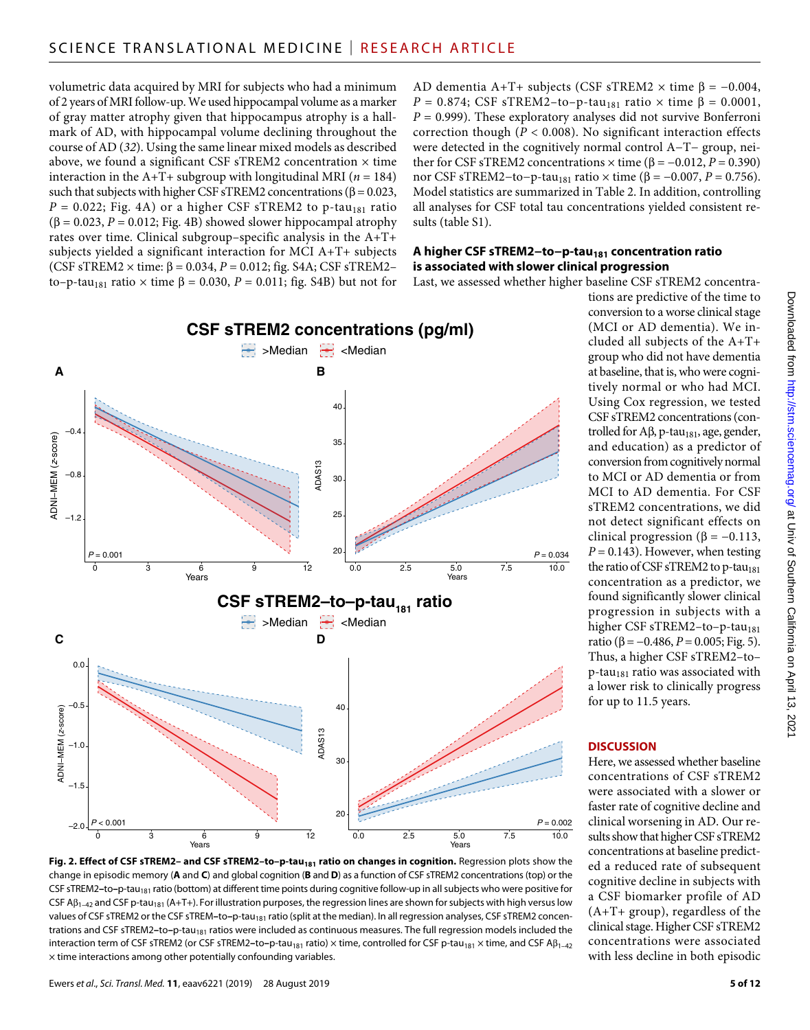volumetric data acquired by MRI for subjects who had a minimum of 2 years of MRI follow-up. We used hippocampal volume as a marker of gray matter atrophy given that hippocampus atrophy is a hallmark of AD, with hippocampal volume declining throughout the course of AD (*32*). Using the same linear mixed models as described above, we found a significant CSF sTREM2 concentration  $\times$  time interaction in the A+T+ subgroup with longitudinal MRI ( $n = 184$ ) such that subjects with higher CSF sTREM2 concentrations ( $\beta$  = 0.023,  $P = 0.022$ ; Fig. 4A) or a higher CSF sTREM2 to p-tau<sub>181</sub> ratio  $(\beta = 0.023, P = 0.012; Fig. 4B)$  showed slower hippocampal atrophy rates over time. Clinical subgroup–specific analysis in the A+T+ subjects yielded a significant interaction for MCI A+T+ subjects (CSF sTREM2  $\times$  time:  $\beta$  = 0.034,  $P$  = 0.012; fig. S4A; CSF sTREM2to–p-tau<sub>181</sub> ratio  $\times$  time  $\beta$  = 0.030, *P* = 0.011; fig. S4B) but not for AD dementia A+T+ subjects (CSF sTREM2  $\times$  time  $\beta$  = -0.004,  $P = 0.874$ ; CSF sTREM2-to-p-tau<sub>181</sub> ratio  $\times$  time  $\beta = 0.0001$ ,  $P = 0.999$ ). These exploratory analyses did not survive Bonferroni correction though ( $P < 0.008$ ). No significant interaction effects were detected in the cognitively normal control A−T− group, neither for CSF sTREM2 concentrations  $\times$  time (β = -0.012, *P* = 0.390) nor CSF sTREM2−to−p-tau<sub>181</sub> ratio  $\times$  time ( $\beta$  = −0.007, *P* = 0.756). Model statistics are summarized in Table 2. In addition, controlling all analyses for CSF total tau concentrations yielded consistent results (table S1).

#### **A higher CSF sTREM2−to−p-tau181 concentration ratio is associated with slower clinical progression**

Last, we assessed whether higher baseline CSF sTREM2 concentra-



Fig. 2. Effect of CSF sTREM2- and CSF sTREM2-to-p-tau<sub>181</sub> ratio on changes in cognition. Regression plots show the change in episodic memory (**A** and **C**) and global cognition (**B** and **D**) as a function of CSF sTREM2 concentrations (top) or the CSF sTREM2-to-p-tau<sub>181</sub> ratio (bottom) at different time points during cognitive follow-up in all subjects who were positive for CSF A $\beta_{1-42}$  and CSF p-tau<sub>181</sub> (A+T+). For illustration purposes, the regression lines are shown for subjects with high versus low values of CSF sTREM2 or the CSF sTREM-to-p-tau<sub>181</sub> ratio (split at the median). In all regression analyses, CSF sTREM2 concentrations and CSF sTREM2-to-p-tau<sub>181</sub> ratios were included as continuous measures. The full regression models included the interaction term of CSF sTREM2 (or CSF sTREM2-to-p-tau<sub>181</sub> ratio) × time, controlled for CSF p-tau<sub>181</sub> × time, and CSF Aβ<sub>1-42</sub>  $\times$  time interactions among other potentially confounding variables.

tions are predictive of the time to conversion to a worse clinical stage (MCI or AD dementia). We included all subjects of the A+T+ group who did not have dementia at baseline, that is, who were cognitively normal or who had MCI. Using Cox regression, we tested CSF sTREM2 concentrations (controlled for  $A\beta$ , p-tau<sub>181</sub>, age, gender, and education) as a predictor of conversion from cognitively normal to MCI or AD dementia or from MCI to AD dementia. For CSF sTREM2 concentrations, we did not detect significant effects on clinical progression ( $\beta = -0.113$ ,  $P = 0.143$ ). However, when testing the ratio of CSF sTREM2 to p-tau<sub>181</sub> concentration as a predictor, we found significantly slower clinical progression in subjects with a higher CSF sTREM2-to-p-tau<sub>181</sub> ratio ( $\beta$  = -0.486, *P* = 0.005; Fig. 5). Thus, a higher CSF sTREM2–to–  $p$ -tau<sub>181</sub> ratio was associated with a lower risk to clinically progress for up to 11.5 years.

#### **DISCUSSION**

Here, we assessed whether baseline concentrations of CSF sTREM2 were associated with a slower or faster rate of cognitive decline and clinical worsening in AD. Our results show that higher CSF sTREM2 concentrations at baseline predicted a reduced rate of subsequent cognitive decline in subjects with a CSF biomarker profile of AD (A+T+ group), regardless of the clinical stage. Higher CSF sTREM2 concentrations were associated with less decline in both episodic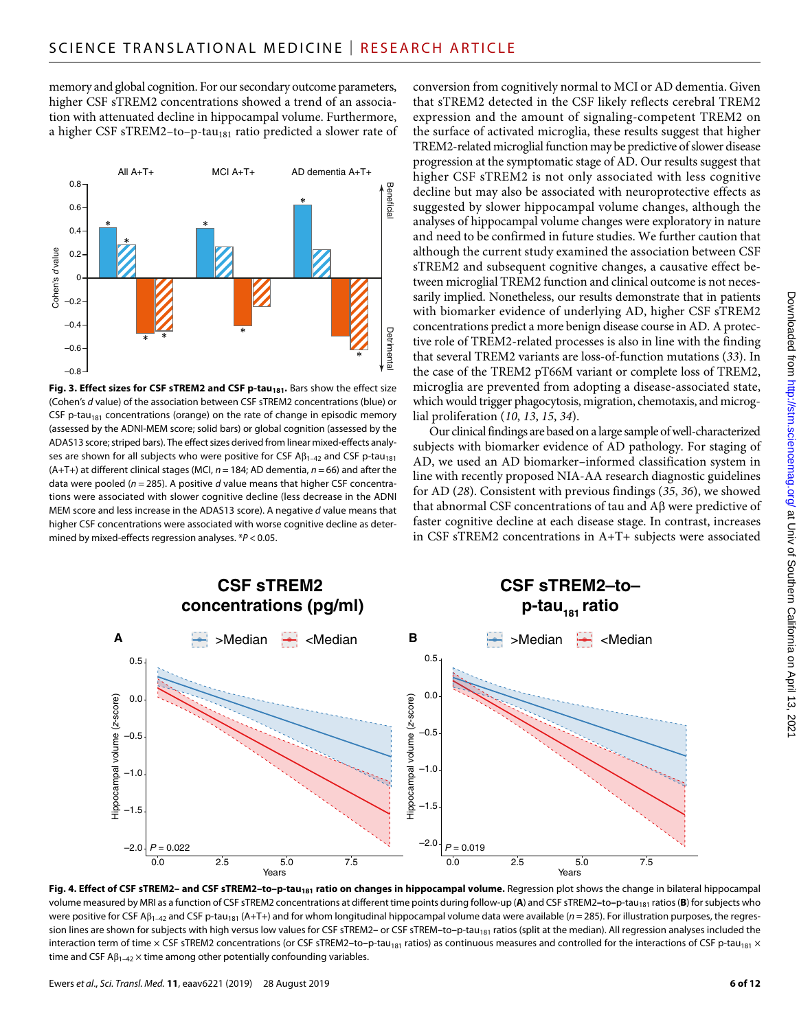memory and global cognition. For our secondary outcome parameters, higher CSF sTREM2 concentrations showed a trend of an association with attenuated decline in hippocampal volume. Furthermore, a higher CSF sTREM2-to-p-tau<sub>181</sub> ratio predicted a slower rate of



Fig. 3. Effect sizes for CSF sTREM2 and CSF p-tau<sub>181</sub>. Bars show the effect size (Cohen's *d* value) of the association between CSF sTREM2 concentrations (blue) or CSF p-tau<sub>181</sub> concentrations (orange) on the rate of change in episodic memory (assessed by the ADNI-MEM score; solid bars) or global cognition (assessed by the ADAS13 score; striped bars). The effect sizes derived from linear mixed-effects analyses are shown for all subjects who were positive for CSF  $\mathsf{AB}_{1-42}$  and CSF p-tau<sub>181</sub> (A+T+) at different clinical stages (MCI, *n* = 184; AD dementia, *n* = 66) and after the data were pooled (*n* = 285). A positive *d* value means that higher CSF concentrations were associated with slower cognitive decline (less decrease in the ADNI MEM score and less increase in the ADAS13 score). A negative *d* value means that higher CSF concentrations were associated with worse cognitive decline as determined by mixed-effects regression analyses. \**P* < 0.05.

conversion from cognitively normal to MCI or AD dementia. Given that sTREM2 detected in the CSF likely reflects cerebral TREM2 expression and the amount of signaling-competent TREM2 on the surface of activated microglia, these results suggest that higher TREM2-related microglial function may be predictive of slower disease progression at the symptomatic stage of AD. Our results suggest that higher CSF sTREM2 is not only associated with less cognitive decline but may also be associated with neuroprotective effects as suggested by slower hippocampal volume changes, although the analyses of hippocampal volume changes were exploratory in nature and need to be confirmed in future studies. We further caution that although the current study examined the association between CSF sTREM2 and subsequent cognitive changes, a causative effect between microglial TREM2 function and clinical outcome is not necessarily implied. Nonetheless, our results demonstrate that in patients with biomarker evidence of underlying AD, higher CSF sTREM2 concentrations predict a more benign disease course in AD. A protective role of TREM2-related processes is also in line with the finding that several TREM2 variants are loss-of-function mutations (*33*). In the case of the TREM2 pT66M variant or complete loss of TREM2, microglia are prevented from adopting a disease-associated state, which would trigger phagocytosis, migration, chemotaxis, and microglial proliferation (*10*, *13*, *15*, *34*).

Our clinical findings are based on a large sample of well-characterized subjects with biomarker evidence of AD pathology. For staging of AD, we used an AD biomarker–informed classification system in line with recently proposed NIA-AA research diagnostic guidelines for AD (*28*). Consistent with previous findings (*35*, *36*), we showed that abnormal CSF concentrations of tau and  $A\beta$  were predictive of faster cognitive decline at each disease stage. In contrast, increases in CSF sTREM2 concentrations in A+T+ subjects were associated



Fig. 4. Effect of CSF sTREM2- and CSF sTREM2-to-p-tau<sub>181</sub> ratio on changes in hippocampal volume. Regression plot shows the change in bilateral hippocampal volume measured by MRI as a function of CSF sTREM2 concentrations at different time points during follow-up (A) and CSF sTREM2-to-p-tau<sub>181</sub> ratios (B) for subjects who were positive for CSF A $\beta_{1-42}$  and CSF p-tau<sub>181</sub> (A+T+) and for whom longitudinal hippocampal volume data were available (*n* = 285). For illustration purposes, the regression lines are shown for subjects with high versus low values for CSF sTREM2- or CSF sTREM-to-p-tau<sub>181</sub> ratios (split at the median). All regression analyses included the interaction term of time × CSF sTREM2 concentrations (or CSF sTREM2-to-p-tau<sub>181</sub> ratios) as continuous measures and controlled for the interactions of CSF p-tau<sub>181</sub> × time and CSF  $AB_{1-42}$   $\times$  time among other potentially confounding variables.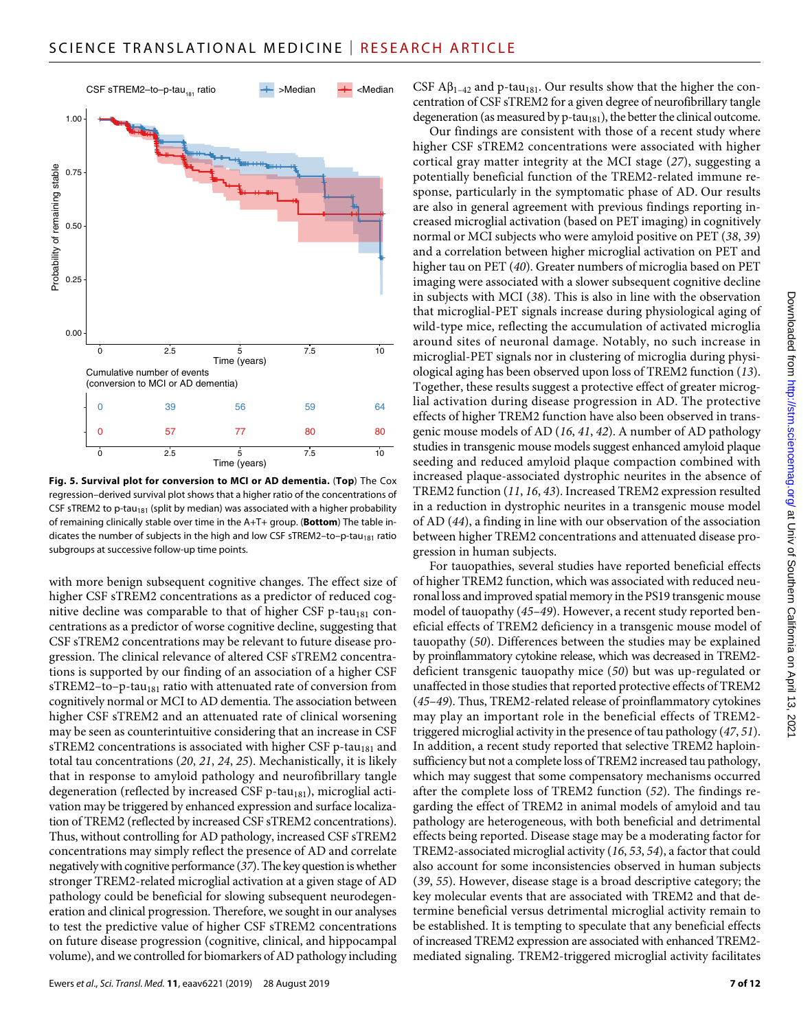

**Fig. 5. Survival plot for conversion to MCI or AD dementia.** (**Top**) The Cox regression–derived survival plot shows that a higher ratio of the concentrations of CSF sTREM2 to p-tau<sub>181</sub> (split by median) was associated with a higher probability of remaining clinically stable over time in the A+T+ group. (**Bottom**) The table indicates the number of subjects in the high and low CSF sTREM2-to-p-tau<sub>181</sub> ratio subgroups at successive follow-up time points.

with more benign subsequent cognitive changes. The effect size of higher CSF sTREM2 concentrations as a predictor of reduced cognitive decline was comparable to that of higher CSF p-tau $_{181}$  concentrations as a predictor of worse cognitive decline, suggesting that CSF sTREM2 concentrations may be relevant to future disease progression. The clinical relevance of altered CSF sTREM2 concentrations is supported by our finding of an association of a higher CSF sTREM2-to-p-tau<sub>181</sub> ratio with attenuated rate of conversion from cognitively normal or MCI to AD dementia. The association between higher CSF sTREM2 and an attenuated rate of clinical worsening may be seen as counterintuitive considering that an increase in CSF sTREM2 concentrations is associated with higher CSF p-tau<sub>181</sub> and total tau concentrations (*20*, *21*, *24*, *25*). Mechanistically, it is likely that in response to amyloid pathology and neurofibrillary tangle degeneration (reflected by increased CSF  $p$ -tau<sub>181</sub>), microglial activation may be triggered by enhanced expression and surface localization of TREM2 (reflected by increased CSF sTREM2 concentrations). Thus, without controlling for AD pathology, increased CSF sTREM2 concentrations may simply reflect the presence of AD and correlate negatively with cognitive performance (*37*). The key question is whether stronger TREM2-related microglial activation at a given stage of AD pathology could be beneficial for slowing subsequent neurodegeneration and clinical progression. Therefore, we sought in our analyses to test the predictive value of higher CSF sTREM2 concentrations on future disease progression (cognitive, clinical, and hippocampal volume), and we controlled for biomarkers of AD pathology including

Ewers *et al*., *Sci. Transl. Med.* **11**, eaav6221 (2019) 28 August 2019

CSF  $\mathbf{A}\beta_{1-42}$  and p-tau<sub>181</sub>. Our results show that the higher the concentration of CSF sTREM2 for a given degree of neurofibrillary tangle degeneration (as measured by  $p$ -tau<sub>181</sub>), the better the clinical outcome.

Our findings are consistent with those of a recent study where higher CSF sTREM2 concentrations were associated with higher cortical gray matter integrity at the MCI stage (*27*), suggesting a potentially beneficial function of the TREM2-related immune response, particularly in the symptomatic phase of AD. Our results are also in general agreement with previous findings reporting increased microglial activation (based on PET imaging) in cognitively normal or MCI subjects who were amyloid positive on PET (*38*, *39*) and a correlation between higher microglial activation on PET and higher tau on PET (*40*). Greater numbers of microglia based on PET imaging were associated with a slower subsequent cognitive decline in subjects with MCI (*38*). This is also in line with the observation that microglial-PET signals increase during physiological aging of wild-type mice, reflecting the accumulation of activated microglia around sites of neuronal damage. Notably, no such increase in microglial-PET signals nor in clustering of microglia during physiological aging has been observed upon loss of TREM2 function (*13*). Together, these results suggest a protective effect of greater microglial activation during disease progression in AD. The protective effects of higher TREM2 function have also been observed in transgenic mouse models of AD (*16*, *41*, *42*). A number of AD pathology studies in transgenic mouse models suggest enhanced amyloid plaque seeding and reduced amyloid plaque compaction combined with increased plaque-associated dystrophic neurites in the absence of TREM2 function (*11*, *16*, *43*). Increased TREM2 expression resulted in a reduction in dystrophic neurites in a transgenic mouse model of AD (*44*), a finding in line with our observation of the association between higher TREM2 concentrations and attenuated disease progression in human subjects.

For tauopathies, several studies have reported beneficial effects of higher TREM2 function, which was associated with reduced neuronal loss and improved spatial memory in the PS19 transgenic mouse model of tauopathy (*45*–*49*). However, a recent study reported beneficial effects of TREM2 deficiency in a transgenic mouse model of tauopathy (*50*). Differences between the studies may be explained by proinflammatory cytokine release, which was decreased in TREM2 deficient transgenic tauopathy mice (*50*) but was up-regulated or unaffected in those studies that reported protective effects of TREM2 (*45*–*49*). Thus, TREM2-related release of proinflammatory cytokines may play an important role in the beneficial effects of TREM2 triggered microglial activity in the presence of tau pathology (*47*, *51*). In addition, a recent study reported that selective TREM2 haploinsufficiency but not a complete loss of TREM2 increased tau pathology, which may suggest that some compensatory mechanisms occurred after the complete loss of TREM2 function (*52*). The findings regarding the effect of TREM2 in animal models of amyloid and tau pathology are heterogeneous, with both beneficial and detrimental effects being reported. Disease stage may be a moderating factor for TREM2-associated microglial activity (*16*, *53*, *54*), a factor that could also account for some inconsistencies observed in human subjects (*39*, *55*). However, disease stage is a broad descriptive category; the key molecular events that are associated with TREM2 and that determine beneficial versus detrimental microglial activity remain to be established. It is tempting to speculate that any beneficial effects of increased TREM2 expression are associated with enhanced TREM2 mediated signaling. TREM2-triggered microglial activity facilitates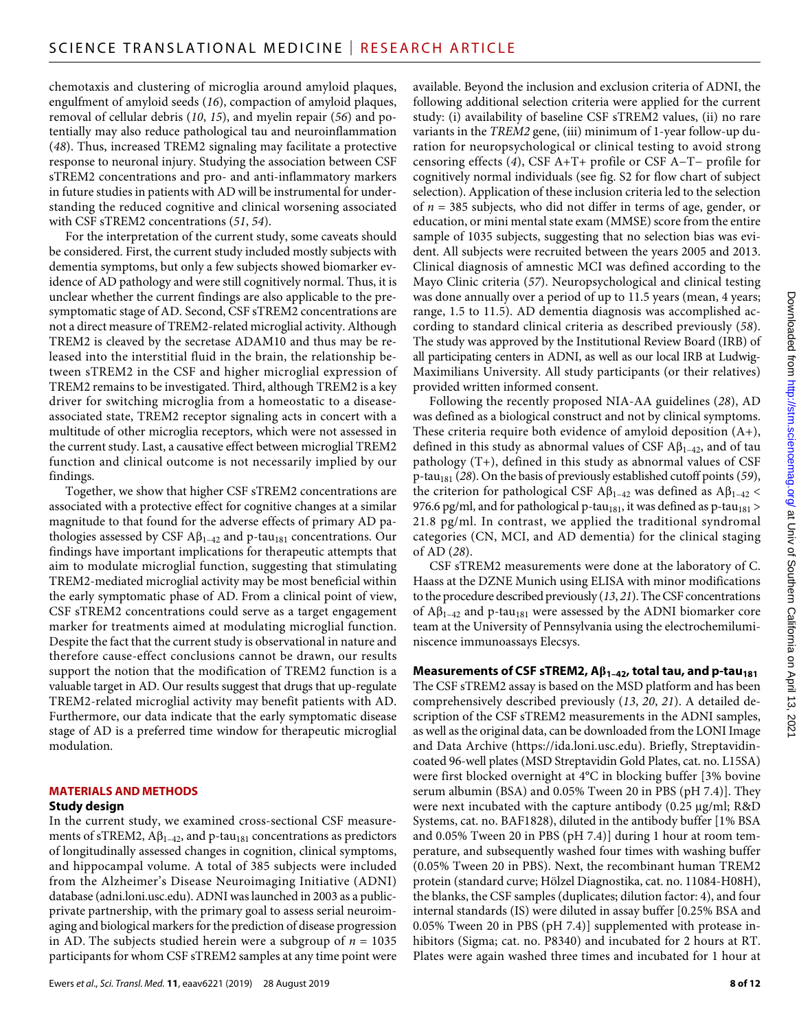chemotaxis and clustering of microglia around amyloid plaques, engulfment of amyloid seeds (*16*), compaction of amyloid plaques, removal of cellular debris (*10*, *15*), and myelin repair (*56*) and potentially may also reduce pathological tau and neuroinflammation (*48*). Thus, increased TREM2 signaling may facilitate a protective response to neuronal injury. Studying the association between CSF sTREM2 concentrations and pro- and anti-inflammatory markers in future studies in patients with AD will be instrumental for understanding the reduced cognitive and clinical worsening associated with CSF sTREM2 concentrations (*51*, *54*).

For the interpretation of the current study, some caveats should be considered. First, the current study included mostly subjects with dementia symptoms, but only a few subjects showed biomarker evidence of AD pathology and were still cognitively normal. Thus, it is unclear whether the current findings are also applicable to the presymptomatic stage of AD. Second, CSF sTREM2 concentrations are not a direct measure of TREM2-related microglial activity. Although TREM2 is cleaved by the secretase ADAM10 and thus may be released into the interstitial fluid in the brain, the relationship between sTREM2 in the CSF and higher microglial expression of TREM2 remains to be investigated. Third, although TREM2 is a key driver for switching microglia from a homeostatic to a diseaseassociated state, TREM2 receptor signaling acts in concert with a multitude of other microglia receptors, which were not assessed in the current study. Last, a causative effect between microglial TREM2 function and clinical outcome is not necessarily implied by our findings.

Together, we show that higher CSF sTREM2 concentrations are associated with a protective effect for cognitive changes at a similar magnitude to that found for the adverse effects of primary AD pathologies assessed by CSF  $\mathbf{A}\beta_{1-42}$  and p-tau<sub>181</sub> concentrations. Our findings have important implications for therapeutic attempts that aim to modulate microglial function, suggesting that stimulating TREM2-mediated microglial activity may be most beneficial within the early symptomatic phase of AD. From a clinical point of view, CSF sTREM2 concentrations could serve as a target engagement marker for treatments aimed at modulating microglial function. Despite the fact that the current study is observational in nature and therefore cause-effect conclusions cannot be drawn, our results support the notion that the modification of TREM2 function is a valuable target in AD. Our results suggest that drugs that up-regulate TREM2-related microglial activity may benefit patients with AD. Furthermore, our data indicate that the early symptomatic disease stage of AD is a preferred time window for therapeutic microglial modulation.

## **MATERIALS AND METHODS**

#### **Study design**

In the current study, we examined cross-sectional CSF measurements of sTREM2,  $\mathbf{A}\beta_{1-42}$ , and p-tau<sub>181</sub> concentrations as predictors of longitudinally assessed changes in cognition, clinical symptoms, and hippocampal volume. A total of 385 subjects were included from the Alzheimer's Disease Neuroimaging Initiative (ADNI) database [\(adni.loni.usc.edu\)](http://adni.loni.usc.edu). ADNI was launched in 2003 as a publicprivate partnership, with the primary goal to assess serial neuroimaging and biological markers for the prediction of disease progression in AD. The subjects studied herein were a subgroup of  $n = 1035$ participants for whom CSF sTREM2 samples at any time point were

available. Beyond the inclusion and exclusion criteria of ADNI, the following additional selection criteria were applied for the current study: (i) availability of baseline CSF sTREM2 values, (ii) no rare variants in the *TREM2* gene, (iii) minimum of 1-year follow-up duration for neuropsychological or clinical testing to avoid strong censoring effects (*4*), CSF A+T+ profile or CSF A−T− profile for cognitively normal individuals (see fig. S2 for flow chart of subject selection). Application of these inclusion criteria led to the selection of *n* = 385 subjects, who did not differ in terms of age, gender, or education, or mini mental state exam (MMSE) score from the entire sample of 1035 subjects, suggesting that no selection bias was evident. All subjects were recruited between the years 2005 and 2013. Clinical diagnosis of amnestic MCI was defined according to the Mayo Clinic criteria (*57*). Neuropsychological and clinical testing was done annually over a period of up to 11.5 years (mean, 4 years; range, 1.5 to 11.5). AD dementia diagnosis was accomplished according to standard clinical criteria as described previously (*58*). The study was approved by the Institutional Review Board (IRB) of all participating centers in ADNI, as well as our local IRB at Ludwig-Maximilians University. All study participants (or their relatives) provided written informed consent.

Following the recently proposed NIA-AA guidelines (*28*), AD was defined as a biological construct and not by clinical symptoms. These criteria require both evidence of amyloid deposition (A+), defined in this study as abnormal values of CSF  $\mathbf{A}\beta_{1-42}$ , and of tau pathology (T+), defined in this study as abnormal values of CSF p-tau181 (*28*). On the basis of previously established cutoff points (*59*), the criterion for pathological CSF  $A\beta_{1-42}$  was defined as  $A\beta_{1-42}$  < 976.6 pg/ml, and for pathological p-tau<sub>181</sub>, it was defined as p-tau<sub>181</sub> > 21.8 pg/ml. In contrast, we applied the traditional syndromal categories (CN, MCI, and AD dementia) for the clinical staging of AD (*28*).

CSF sTREM2 measurements were done at the laboratory of C. Haass at the DZNE Munich using ELISA with minor modifications to the procedure described previously (*13*, *21*). The CSF concentrations of  $A\beta_{1-42}$  and p-tau<sub>181</sub> were assessed by the ADNI biomarker core team at the University of Pennsylvania using the electrochemiluminiscence immunoassays Elecsys.

#### **Measurements of CSF sTREM2,**  $\mathsf{AB}_{1-42}$ **, total tau, and p-tau<sub>181</sub>**

The CSF sTREM2 assay is based on the MSD platform and has been comprehensively described previously (*13*, *20*, *21*). A detailed description of the CSF sTREM2 measurements in the ADNI samples, as well as the original data, can be downloaded from the LONI Image and Data Archive [\(https://ida.loni.usc.edu\)](https://ida.loni.usc.edu). Briefly, Streptavidincoated 96-well plates (MSD Streptavidin Gold Plates, cat. no. L15SA) were first blocked overnight at 4°C in blocking buffer [3% bovine serum albumin (BSA) and 0.05% Tween 20 in PBS (pH 7.4)]. They were next incubated with the capture antibody  $(0.25 \text{ µg/ml}; R&D)$ Systems, cat. no. BAF1828), diluted in the antibody buffer [1% BSA and 0.05% Tween 20 in PBS (pH 7.4)] during 1 hour at room temperature, and subsequently washed four times with washing buffer (0.05% Tween 20 in PBS). Next, the recombinant human TREM2 protein (standard curve; Hölzel Diagnostika, cat. no. 11084-H08H), the blanks, the CSF samples (duplicates; dilution factor: 4), and four internal standards (IS) were diluted in assay buffer [0.25% BSA and 0.05% Tween 20 in PBS (pH 7.4)] supplemented with protease inhibitors (Sigma; cat. no. P8340) and incubated for 2 hours at RT. Plates were again washed three times and incubated for 1 hour at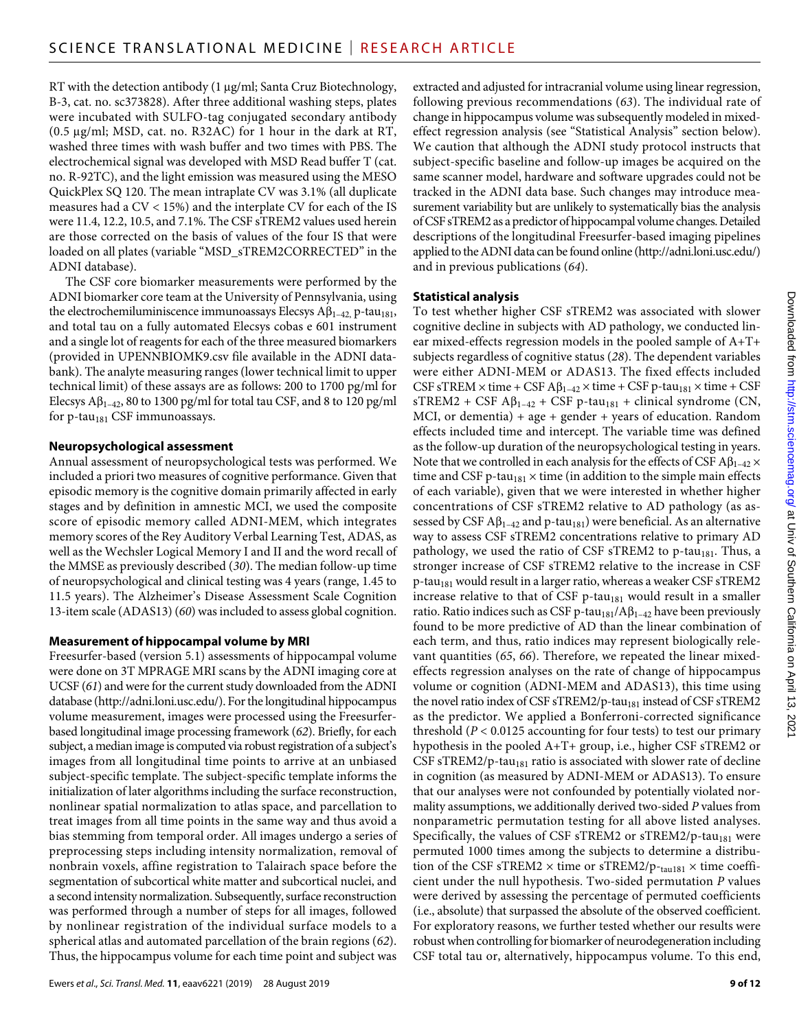RT with the detection antibody (1 µg/ml; Santa Cruz Biotechnology, B-3, cat. no. sc373828). After three additional washing steps, plates were incubated with SULFO-tag conjugated secondary antibody (0.5  $\mu$ g/ml; MSD, cat. no. R32AC) for 1 hour in the dark at RT, washed three times with wash buffer and two times with PBS. The electrochemical signal was developed with MSD Read buffer T (cat. no. R-92TC), and the light emission was measured using the MESO QuickPlex SQ 120. The mean intraplate CV was 3.1% (all duplicate measures had a CV < 15%) and the interplate CV for each of the IS were 11.4, 12.2, 10.5, and 7.1%. The CSF sTREM2 values used herein are those corrected on the basis of values of the four IS that were loaded on all plates (variable "MSD\_sTREM2CORRECTED" in the ADNI database).

The CSF core biomarker measurements were performed by the ADNI biomarker core team at the University of Pennsylvania, using the electrochemiluminiscence immunoassays Elecsys  $A\beta_{1-42}$ , p-tau<sub>181</sub>, and total tau on a fully automated Elecsys cobas e 601 instrument and a single lot of reagents for each of the three measured biomarkers (provided in UPENNBIOMK9.csv file available in the ADNI databank). The analyte measuring ranges (lower technical limit to upper technical limit) of these assays are as follows: 200 to 1700 pg/ml for Elecsys  $A\beta_{1-42}$ , 80 to 1300 pg/ml for total tau CSF, and 8 to 120 pg/ml for  $p$ -tau<sub>181</sub> CSF immunoassays.

#### **Neuropsychological assessment**

Annual assessment of neuropsychological tests was performed. We included a priori two measures of cognitive performance. Given that episodic memory is the cognitive domain primarily affected in early stages and by definition in amnestic MCI, we used the composite score of episodic memory called ADNI-MEM, which integrates memory scores of the Rey Auditory Verbal Learning Test, ADAS, as well as the Wechsler Logical Memory I and II and the word recall of the MMSE as previously described (*30*). The median follow-up time of neuropsychological and clinical testing was 4 years (range, 1.45 to 11.5 years). The Alzheimer's Disease Assessment Scale Cognition 13-item scale (ADAS13) (*60*) was included to assess global cognition.

#### **Measurement of hippocampal volume by MRI**

Freesurfer-based (version 5.1) assessments of hippocampal volume were done on 3T MPRAGE MRI scans by the ADNI imaging core at UCSF (*61*) and were for the current study downloaded from the ADNI database [\(http://adni.loni.usc.edu/](http://adni.loni.usc.edu/)). For the longitudinal hippocampus volume measurement, images were processed using the Freesurferbased longitudinal image processing framework (*62*). Briefly, for each subject, a median image is computed via robust registration of a subject's images from all longitudinal time points to arrive at an unbiased subject-specific template. The subject-specific template informs the initialization of later algorithms including the surface reconstruction, nonlinear spatial normalization to atlas space, and parcellation to treat images from all time points in the same way and thus avoid a bias stemming from temporal order. All images undergo a series of preprocessing steps including intensity normalization, removal of nonbrain voxels, affine registration to Talairach space before the segmentation of subcortical white matter and subcortical nuclei, and a second intensity normalization. Subsequently, surface reconstruction was performed through a number of steps for all images, followed by nonlinear registration of the individual surface models to a spherical atlas and automated parcellation of the brain regions (*62*). Thus, the hippocampus volume for each time point and subject was

extracted and adjusted for intracranial volume using linear regression, following previous recommendations (*63*). The individual rate of change in hippocampus volume was subsequently modeled in mixedeffect regression analysis (see "Statistical Analysis" section below). We caution that although the ADNI study protocol instructs that subject-specific baseline and follow-up images be acquired on the same scanner model, hardware and software upgrades could not be tracked in the ADNI data base. Such changes may introduce measurement variability but are unlikely to systematically bias the analysis of CSF sTREM2 as a predictor of hippocampal volume changes. Detailed descriptions of the longitudinal Freesurfer-based imaging pipelines applied to the ADNI data can be found online [\(http://adni.loni.usc.edu/\)](http://adni.loni.usc.edu/) and in previous publications (*64*).

### **Statistical analysis**

To test whether higher CSF sTREM2 was associated with slower cognitive decline in subjects with AD pathology, we conducted linear mixed-effects regression models in the pooled sample of A+T+ subjects regardless of cognitive status (*28*). The dependent variables were either ADNI-MEM or ADAS13. The fixed effects included CSF sTREM  $\times$  time + CSF A $\beta_{1-42} \times$  time + CSF p-tau<sub>181</sub>  $\times$  time + CSF  $s$ TREM2 + CSF A $\beta_{1-42}$  + CSF p-tau<sub>181</sub> + clinical syndrome (CN, MCI, or dementia) + age + gender + years of education. Random effects included time and intercept. The variable time was defined as the follow-up duration of the neuropsychological testing in years. Note that we controlled in each analysis for the effects of CSF  $\mathbf{A}\beta_{1-42} \times$ time and CSF p-tau<sub>181</sub>  $\times$  time (in addition to the simple main effects of each variable), given that we were interested in whether higher concentrations of CSF sTREM2 relative to AD pathology (as assessed by CSF  $\mathbf{A}\beta_{1-42}$  and p-tau<sub>181</sub>) were beneficial. As an alternative way to assess CSF sTREM2 concentrations relative to primary AD pathology, we used the ratio of CSF sTREM2 to p-tau $_{181}$ . Thus, a stronger increase of CSF sTREM2 relative to the increase in CSF  $p$ -tau<sub>181</sub> would result in a larger ratio, whereas a weaker CSF sTREM2 increase relative to that of CSF  $p$ -tau<sub>181</sub> would result in a smaller ratio. Ratio indices such as CSF p-tau<sub>181</sub>/A $\beta$ <sub>1-42</sub> have been previously found to be more predictive of AD than the linear combination of each term, and thus, ratio indices may represent biologically relevant quantities (*65*, *66*). Therefore, we repeated the linear mixedeffects regression analyses on the rate of change of hippocampus volume or cognition (ADNI-MEM and ADAS13), this time using the novel ratio index of CSF sTREM2/p-tau<sub>181</sub> instead of CSF sTREM2 as the predictor. We applied a Bonferroni-corrected significance threshold (*P* < 0.0125 accounting for four tests) to test our primary hypothesis in the pooled A+T+ group, i.e., higher CSF sTREM2 or CSF sTREM2/p-tau<sub>181</sub> ratio is associated with slower rate of decline in cognition (as measured by ADNI-MEM or ADAS13). To ensure that our analyses were not confounded by potentially violated normality assumptions, we additionally derived two-sided *P* values from nonparametric permutation testing for all above listed analyses. Specifically, the values of CSF sTREM2 or sTREM2/p-tau<sub>181</sub> were permuted 1000 times among the subjects to determine a distribution of the CSF sTREM2  $\times$  time or sTREM2/p- $_{\text{tau181}} \times$  time coefficient under the null hypothesis. Two-sided permutation *P* values were derived by assessing the percentage of permuted coefficients (i.e., absolute) that surpassed the absolute of the observed coefficient. For exploratory reasons, we further tested whether our results were robust when controlling for biomarker of neurodegeneration including CSF total tau or, alternatively, hippocampus volume. To this end,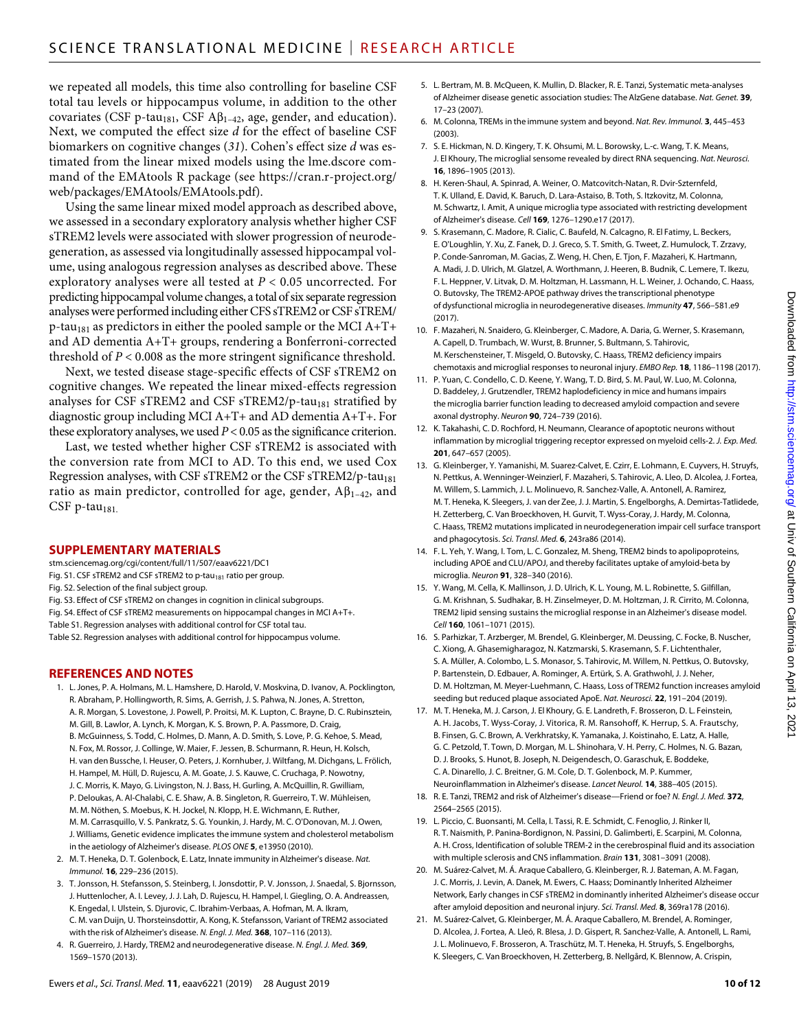we repeated all models, this time also controlling for baseline CSF total tau levels or hippocampus volume, in addition to the other covariates (CSF p-tau<sub>181</sub>, CSF  $\mathbf{A}\beta_{1-42}$ , age, gender, and education). Next, we computed the effect size *d* for the effect of baseline CSF biomarkers on cognitive changes (*31*). Cohen's effect size *d* was estimated from the linear mixed models using the lme.dscore command of the EMAtools R package (see [https://cran.r-project.org/](https://cran.r-project.org/web/packages/EMAtools/EMAtools.pdf) [web/packages/EMAtools/EMAtools.pdf\)](https://cran.r-project.org/web/packages/EMAtools/EMAtools.pdf).

Using the same linear mixed model approach as described above, we assessed in a secondary exploratory analysis whether higher CSF sTREM2 levels were associated with slower progression of neurodegeneration, as assessed via longitudinally assessed hippocampal volume, using analogous regression analyses as described above. These exploratory analyses were all tested at *P* < 0.05 uncorrected. For predicting hippocampal volume changes, a total of six separate regression analyses were performed including either CFS sTREM2 or CSF sTREM/  $p$ -tau<sub>181</sub> as predictors in either the pooled sample or the MCI A+T+ and AD dementia A+T+ groups, rendering a Bonferroni-corrected threshold of *P* < 0.008 as the more stringent significance threshold.

Next, we tested disease stage-specific effects of CSF sTREM2 on cognitive changes. We repeated the linear mixed-effects regression analyses for CSF sTREM2 and CSF sTREM2/p-tau<sub>181</sub> stratified by diagnostic group including MCI A+T+ and AD dementia A+T+. For these exploratory analyses, we used  $P < 0.05$  as the significance criterion.

Last, we tested whether higher CSF sTREM2 is associated with the conversion rate from MCI to AD. To this end, we used Cox Regression analyses, with CSF sTREM2 or the CSF sTREM2/p-tau<sub>181</sub> ratio as main predictor, controlled for age, gender,  $A\beta_{1-42}$ , and  $CSF$  p-tau<sub>181.</sub>

#### **SUPPLEMENTARY MATERIALS**

- [stm.sciencemag.org/cgi/content/full/11/507/eaav6221/DC1](http://stm.sciencemag.org/cgi/content/full/11/507/eaav6221/DC1)
- Fig. S1. CSF sTREM2 and CSF sTREM2 to p-tau<sub>181</sub> ratio per group.
- Fig. S2. Selection of the final subject group.
- Fig. S3. Effect of CSF sTREM2 on changes in cognition in clinical subgroups.
- Fig. S4. Effect of CSF sTREM2 measurements on hippocampal changes in MCI A+T+.
- Table S1. Regression analyses with additional control for CSF total tau. Table S2. Regression analyses with additional control for hippocampus volume.

#### **REFERENCES AND NOTES**

- 1. L. Jones, P. A. Holmans, M. L. Hamshere, D. Harold, V. Moskvina, D. Ivanov, A. Pocklington, R. Abraham, P. Hollingworth, R. Sims, A. Gerrish, J. S. Pahwa, N. Jones, A. Stretton, A. R. Morgan, S. Lovestone, J. Powell, P. Proitsi, M. K. Lupton, C. Brayne, D. C. Rubinsztein, M. Gill, B. Lawlor, A. Lynch, K. Morgan, K. S. Brown, P. A. Passmore, D. Craig, B. McGuinness, S. Todd, C. Holmes, D. Mann, A. D. Smith, S. Love, P. G. Kehoe, S. Mead, N. Fox, M. Rossor, J. Collinge, W. Maier, F. Jessen, B. Schurmann, R. Heun, H. Kolsch, H. van den Bussche, I. Heuser, O. Peters, J. Kornhuber, J. Wiltfang, M. Dichgans, L. Frölich, H. Hampel, M. Hüll, D. Rujescu, A. M. Goate, J. S. Kauwe, C. Cruchaga, P. Nowotny, J. C. Morris, K. Mayo, G. Livingston, N. J. Bass, H. Gurling, A. McQuillin, R. Gwilliam, P. Deloukas, A. Al-Chalabi, C. E. Shaw, A. B. Singleton, R. Guerreiro, T. W. Mühleisen, M. M. Nöthen, S. Moebus, K. H. Jockel, N. Klopp, H. E. Wichmann, E. Ruther, M. M. Carrasquillo, V. S. Pankratz, S. G. Younkin, J. Hardy, M. C. O'Donovan, M. J. Owen, J. Williams, Genetic evidence implicates the immune system and cholesterol metabolism in the aetiology of Alzheimer's disease. *PLOS ONE* **5**, e13950 (2010).
- 2. M. T. Heneka, D. T. Golenbock, E. Latz, Innate immunity in Alzheimer's disease. *Nat. Immunol.* **16**, 229–236 (2015).
- 3. T. Jonsson, H. Stefansson, S. Steinberg, I. Jonsdottir, P. V. Jonsson, J. Snaedal, S. Bjornsson, J. Huttenlocher, A. I. Levey, J. J. Lah, D. Rujescu, H. Hampel, I. Giegling, O. A. Andreassen, K. Engedal, I. Ulstein, S. Djurovic, C. Ibrahim-Verbaas, A. Hofman, M. A. Ikram, C. M. van Duijn, U. Thorsteinsdottir, A. Kong, K. Stefansson, Variant of TREM2 associated with the risk of Alzheimer's disease. *N. Engl. J. Med.* **368**, 107–116 (2013).
- 4. R. Guerreiro, J. Hardy, TREM2 and neurodegenerative disease. *N. Engl. J. Med.* **369**, 1569–1570 (2013).
- 5. L. Bertram, M. B. McQueen, K. Mullin, D. Blacker, R. E. Tanzi, Systematic meta-analyses of Alzheimer disease genetic association studies: The AlzGene database. *Nat. Genet.* **39**, 17–23 (2007).
- 6. M. Colonna, TREMs in the immune system and beyond. *Nat. Rev. Immunol.* **3**, 445–453 (2003).
- 7. S. E. Hickman, N. D. Kingery, T. K. Ohsumi, M. L. Borowsky, L.-c. Wang, T. K. Means, J. El Khoury, The microglial sensome revealed by direct RNA sequencing. *Nat. Neurosci.* **16**, 1896–1905 (2013).
- 8. H. Keren-Shaul, A. Spinrad, A. Weiner, O. Matcovitch-Natan, R. Dvir-Szternfeld, T. K. Ulland, E. David, K. Baruch, D. Lara-Astaiso, B. Toth, S. Itzkovitz, M. Colonna, M. Schwartz, I. Amit, A unique microglia type associated with restricting development of Alzheimer's disease. *Cell* **169**, 1276–1290.e17 (2017).
- 9. S. Krasemann, C. Madore, R. Cialic, C. Baufeld, N. Calcagno, R. El Fatimy, L. Beckers, E. O'Loughlin, Y. Xu, Z. Fanek, D. J. Greco, S. T. Smith, G. Tweet, Z. Humulock, T. Zrzavy, P. Conde-Sanroman, M. Gacias, Z. Weng, H. Chen, E. Tjon, F. Mazaheri, K. Hartmann, A. Madi, J. D. Ulrich, M. Glatzel, A. Worthmann, J. Heeren, B. Budnik, C. Lemere, T. Ikezu, F. L. Heppner, V. Litvak, D. M. Holtzman, H. Lassmann, H. L. Weiner, J. Ochando, C. Haass, O. Butovsky, The TREM2-APOE pathway drives the transcriptional phenotype of dysfunctional microglia in neurodegenerative diseases. *Immunity* **47**, 566–581.e9 (2017).
- 10. F. Mazaheri, N. Snaidero, G. Kleinberger, C. Madore, A. Daria, G. Werner, S. Krasemann, A. Capell, D. Trumbach, W. Wurst, B. Brunner, S. Bultmann, S. Tahirovic, M. Kerschensteiner, T. Misgeld, O. Butovsky, C. Haass, TREM2 deficiency impairs chemotaxis and microglial responses to neuronal injury. *EMBO Rep.* **18**, 1186–1198 (2017).
- 11. P. Yuan, C. Condello, C. D. Keene, Y. Wang, T. D. Bird, S. M. Paul, W. Luo, M. Colonna, D. Baddeley, J. Grutzendler, TREM2 haplodeficiency in mice and humans impairs the microglia barrier function leading to decreased amyloid compaction and severe axonal dystrophy. *Neuron* **90**, 724–739 (2016).
- 12. K. Takahashi, C. D. Rochford, H. Neumann, Clearance of apoptotic neurons without inflammation by microglial triggering receptor expressed on myeloid cells-2. *J. Exp. Med.* **201**, 647–657 (2005).
- 13. G. Kleinberger, Y. Yamanishi, M. Suarez-Calvet, E. Czirr, E. Lohmann, E. Cuyvers, H. Struyfs, N. Pettkus, A. Wenninger-Weinzierl, F. Mazaheri, S. Tahirovic, A. Lleo, D. Alcolea, J. Fortea, M. Willem, S. Lammich, J. L. Molinuevo, R. Sanchez-Valle, A. Antonell, A. Ramirez, M. T. Heneka, K. Sleegers, J. van der Zee, J. J. Martin, S. Engelborghs, A. Demirtas-Tatlidede, H. Zetterberg, C. Van Broeckhoven, H. Gurvit, T. Wyss-Coray, J. Hardy, M. Colonna, C. Haass, TREM2 mutations implicated in neurodegeneration impair cell surface transport and phagocytosis. *Sci. Transl. Med.* **6**, 243ra86 (2014).
- 14. F. L. Yeh, Y. Wang, I. Tom, L. C. Gonzalez, M. Sheng, TREM2 binds to apolipoproteins, including APOE and CLU/APOJ, and thereby facilitates uptake of amyloid-beta by microglia. *Neuron* **91**, 328–340 (2016).
- 15. Y. Wang, M. Cella, K. Mallinson, J. D. Ulrich, K. L. Young, M. L. Robinette, S. Gilfillan, G. M. Krishnan, S. Sudhakar, B. H. Zinselmeyer, D. M. Holtzman, J. R. Cirrito, M. Colonna, TREM2 lipid sensing sustains the microglial response in an Alzheimer's disease model. *Cell* **160**, 1061–1071 (2015).
- 16. S. Parhizkar, T. Arzberger, M. Brendel, G. Kleinberger, M. Deussing, C. Focke, B. Nuscher, C. Xiong, A. Ghasemigharagoz, N. Katzmarski, S. Krasemann, S. F. Lichtenthaler, S. A. Müller, A. Colombo, L. S. Monasor, S. Tahirovic, M. Willem, N. Pettkus, O. Butovsky, P. Bartenstein, D. Edbauer, A. Rominger, A. Ertürk, S. A. Grathwohl, J. J. Neher, D. M. Holtzman, M. Meyer-Luehmann, C. Haass, Loss of TREM2 function increases amyloid seeding but reduced plaque associated ApoE. *Nat. Neurosci.* **22**, 191–204 (2019).
- 17. M. T. Heneka, M. J. Carson, J. El Khoury, G. E. Landreth, F. Brosseron, D. L. Feinstein, A. H. Jacobs, T. Wyss-Coray, J. Vitorica, R. M. Ransohoff, K. Herrup, S. A. Frautschy, B. Finsen, G. C. Brown, A. Verkhratsky, K. Yamanaka, J. Koistinaho, E. Latz, A. Halle, G. C. Petzold, T. Town, D. Morgan, M. L. Shinohara, V. H. Perry, C. Holmes, N. G. Bazan, D. J. Brooks, S. Hunot, B. Joseph, N. Deigendesch, O. Garaschuk, E. Boddeke, C. A. Dinarello, J. C. Breitner, G. M. Cole, D. T. Golenbock, M. P. Kummer, Neuroinflammation in Alzheimer's disease. *Lancet Neurol.* **14**, 388–405 (2015).
- 18. R. E. Tanzi, TREM2 and risk of Alzheimer's disease—Friend or foe? *N. Engl. J. Med.* **372**, 2564–2565 (2015).
- 19. L. Piccio, C. Buonsanti, M. Cella, I. Tassi, R. E. Schmidt, C. Fenoglio, J. Rinker II, R. T. Naismith, P. Panina-Bordignon, N. Passini, D. Galimberti, E. Scarpini, M. Colonna, A. H. Cross, Identification of soluble TREM-2 in the cerebrospinal fluid and its association with multiple sclerosis and CNS inflammation. *Brain* **131**, 3081–3091 (2008).
- 20. M. Suárez-Calvet, M. Á. Araque Caballero, G. Kleinberger, R. J. Bateman, A. M. Fagan, J. C. Morris, J. Levin, A. Danek, M. Ewers, C. Haass; Dominantly Inherited Alzheimer Network, Early changes in CSF sTREM2 in dominantly inherited Alzheimer's disease occur after amyloid deposition and neuronal injury. *Sci. Transl. Med.* **8**, 369ra178 (2016).
- 21. M. Suárez-Calvet, G. Kleinberger, M. Á. Araque Caballero, M. Brendel, A. Rominger, D. Alcolea, J. Fortea, A. Lleó, R. Blesa, J. D. Gispert, R. Sanchez-Valle, A. Antonell, L. Rami, J. L. Molinuevo, F. Brosseron, A. Traschütz, M. T. Heneka, H. Struyfs, S. Engelborghs, K. Sleegers, C. Van Broeckhoven, H. Zetterberg, B. Nellgård, K. Blennow, A. Crispin,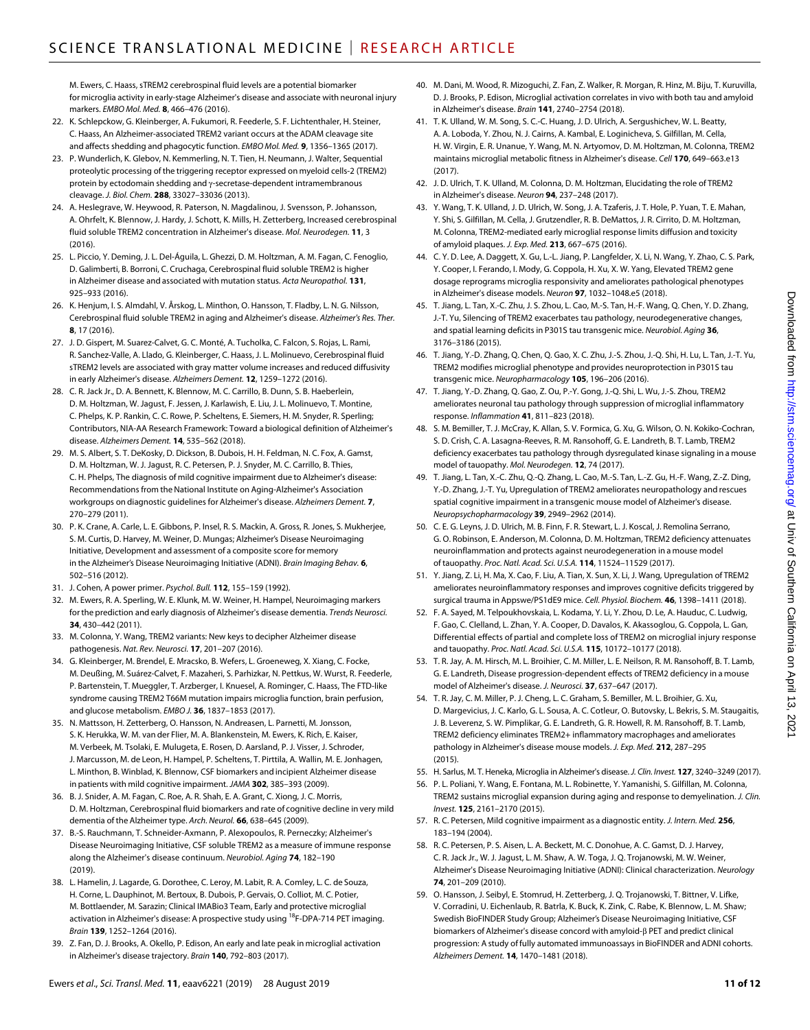M. Ewers, C. Haass, sTREM2 cerebrospinal fluid levels are a potential biomarker for microglia activity in early-stage Alzheimer's disease and associate with neuronal injury markers. *EMBO Mol. Med.* **8**, 466–476 (2016).

- 22. K. Schlepckow, G. Kleinberger, A. Fukumori, R. Feederle, S. F. Lichtenthaler, H. Steiner, C. Haass, An Alzheimer-associated TREM2 variant occurs at the ADAM cleavage site and affects shedding and phagocytic function. *EMBO Mol. Med.* **9**, 1356–1365 (2017).
- 23. P. Wunderlich, K. Glebov, N. Kemmerling, N. T. Tien, H. Neumann, J. Walter, Sequential proteolytic processing of the triggering receptor expressed on myeloid cells-2 (TREM2) protein by ectodomain shedding and y-secretase-dependent intramembranous cleavage. *J. Biol. Chem.* **288**, 33027–33036 (2013).
- 24. A. Heslegrave, W. Heywood, R. Paterson, N. Magdalinou, J. Svensson, P. Johansson, A. Ohrfelt, K. Blennow, J. Hardy, J. Schott, K. Mills, H. Zetterberg, Increased cerebrospinal fluid soluble TREM2 concentration in Alzheimer's disease. *Mol. Neurodegen.* **11**, 3  $(2016)$
- 25. L. Piccio, Y. Deming, J. L. Del-Águila, L. Ghezzi, D. M. Holtzman, A. M. Fagan, C. Fenoglio, D. Galimberti, B. Borroni, C. Cruchaga, Cerebrospinal fluid soluble TREM2 is higher in Alzheimer disease and associated with mutation status. *Acta Neuropathol.* **131**, 925–933 (2016).
- 26. K. Henjum, I. S. Almdahl, V. Årskog, L. Minthon, O. Hansson, T. Fladby, L. N. G. Nilsson, Cerebrospinal fluid soluble TREM2 in aging and Alzheimer's disease. *Alzheimer's Res. Ther.* **8**, 17 (2016).
- 27. J. D. Gispert, M. Suarez-Calvet, G. C. Monté, A. Tucholka, C. Falcon, S. Rojas, L. Rami, R. Sanchez-Valle, A. Llado, G. Kleinberger, C. Haass, J. L. Molinuevo, Cerebrospinal fluid sTREM2 levels are associated with gray matter volume increases and reduced diffusivity in early Alzheimer's disease. *Alzheimers Dement.* **12**, 1259–1272 (2016).
- 28. C. R. Jack Jr., D. A. Bennett, K. Blennow, M. C. Carrillo, B. Dunn, S. B. Haeberlein, D. M. Holtzman, W. Jagust, F. Jessen, J. Karlawish, E. Liu, J. L. Molinuevo, T. Montine, C. Phelps, K. P. Rankin, C. C. Rowe, P. Scheltens, E. Siemers, H. M. Snyder, R. Sperling; Contributors, NIA-AA Research Framework: Toward a biological definition of Alzheimer's disease. *Alzheimers Dement.* **14**, 535–562 (2018).
- 29. M. S. Albert, S. T. DeKosky, D. Dickson, B. Dubois, H. H. Feldman, N. C. Fox, A. Gamst, D. M. Holtzman, W. J. Jagust, R. C. Petersen, P. J. Snyder, M. C. Carrillo, B. Thies, C. H. Phelps, The diagnosis of mild cognitive impairment due to Alzheimer's disease: Recommendations from the National Institute on Aging-Alzheimer's Association workgroups on diagnostic guidelines for Alzheimer's disease. *Alzheimers Dement.* **7**, 270–279 (2011).
- 30. P. K. Crane, A. Carle, L. E. Gibbons, P. Insel, R. S. Mackin, A. Gross, R. Jones, S. Mukherjee, S. M. Curtis, D. Harvey, M. Weiner, D. Mungas; Alzheimer's Disease Neuroimaging Initiative, Development and assessment of a composite score for memory in the Alzheimer's Disease Neuroimaging Initiative (ADNI). *Brain Imaging Behav.* **6**, 502–516 (2012).
- 31. J. Cohen, A power primer. *Psychol. Bull.* **112**, 155–159 (1992).
- 32. M. Ewers, R. A. Sperling, W. E. Klunk, M. W. Weiner, H. Hampel, Neuroimaging markers for the prediction and early diagnosis of Alzheimer's disease dementia. *Trends Neurosci.* **34**, 430–442 (2011).
- 33. M. Colonna, Y. Wang, TREM2 variants: New keys to decipher Alzheimer disease pathogenesis. *Nat. Rev. Neurosci.* **17**, 201–207 (2016).
- 34. G. Kleinberger, M. Brendel, E. Mracsko, B. Wefers, L. Groeneweg, X. Xiang, C. Focke, M. Deußing, M. Suárez-Calvet, F. Mazaheri, S. Parhizkar, N. Pettkus, W. Wurst, R. Feederle, P. Bartenstein, T. Mueggler, T. Arzberger, I. Knuesel, A. Rominger, C. Haass, The FTD-like syndrome causing TREM2 T66M mutation impairs microglia function, brain perfusion, and glucose metabolism. *EMBO J.* **36**, 1837–1853 (2017).
- 35. N. Mattsson, H. Zetterberg, O. Hansson, N. Andreasen, L. Parnetti, M. Jonsson, S. K. Herukka, W. M. van der Flier, M. A. Blankenstein, M. Ewers, K. Rich, E. Kaiser, M. Verbeek, M. Tsolaki, E. Mulugeta, E. Rosen, D. Aarsland, P. J. Visser, J. Schroder, J. Marcusson, M. de Leon, H. Hampel, P. Scheltens, T. Pirttila, A. Wallin, M. E. Jonhagen, L. Minthon, B. Winblad, K. Blennow, CSF biomarkers and incipient Alzheimer disease in patients with mild cognitive impairment. *JAMA* **302**, 385–393 (2009).
- 36. B. J. Snider, A. M. Fagan, C. Roe, A. R. Shah, E. A. Grant, C. Xiong, J. C. Morris, D. M. Holtzman, Cerebrospinal fluid biomarkers and rate of cognitive decline in very mild dementia of the Alzheimer type. *Arch. Neurol.* **66**, 638–645 (2009).
- 37. B.-S. Rauchmann, T. Schneider-Axmann, P. Alexopoulos, R. Perneczky; Alzheimer's Disease Neuroimaging Initiative, CSF soluble TREM2 as a measure of immune response along the Alzheimer's disease continuum. *Neurobiol. Aging* **74**, 182–190 (2019).
- 38. L. Hamelin, J. Lagarde, G. Dorothee, C. Leroy, M. Labit, R. A. Comley, L. C. de Souza, H. Corne, L. Dauphinot, M. Bertoux, B. Dubois, P. Gervais, O. Colliot, M. C. Potier, M. Bottlaender, M. Sarazin; Clinical IMABio3 Team, Early and protective microglial activation in Alzheimer's disease: A prospective study using <sup>18</sup>F-DPA-714 PET imaging. *Brain* **139**, 1252–1264 (2016).
- 39. Z. Fan, D. J. Brooks, A. Okello, P. Edison, An early and late peak in microglial activation in Alzheimer's disease trajectory. *Brain* **140**, 792–803 (2017).
- 40. M. Dani, M. Wood, R. Mizoguchi, Z. Fan, Z. Walker, R. Morgan, R. Hinz, M. Biju, T. Kuruvilla, D. J. Brooks, P. Edison, Microglial activation correlates in vivo with both tau and amyloid in Alzheimer's disease. *Brain* **141**, 2740–2754 (2018).
- 41. T. K. Ulland, W. M. Song, S. C.-C. Huang, J. D. Ulrich, A. Sergushichev, W. L. Beatty, A. A. Loboda, Y. Zhou, N. J. Cairns, A. Kambal, E. Loginicheva, S. Gilfillan, M. Cella, H. W. Virgin, E. R. Unanue, Y. Wang, M. N. Artyomov, D. M. Holtzman, M. Colonna, TREM2 maintains microglial metabolic fitness in Alzheimer's disease. *Cell* **170**, 649–663.e13 (2017).
- 42. J. D. Ulrich, T. K. Ulland, M. Colonna, D. M. Holtzman, Elucidating the role of TREM2 in Alzheimer's disease. *Neuron* **94**, 237–248 (2017).
- 43. Y. Wang, T. K. Ulland, J. D. Ulrich, W. Song, J. A. Tzaferis, J. T. Hole, P. Yuan, T. E. Mahan, Y. Shi, S. Gilfillan, M. Cella, J. Grutzendler, R. B. DeMattos, J. R. Cirrito, D. M. Holtzman, M. Colonna, TREM2-mediated early microglial response limits diffusion and toxicity of amyloid plaques. *J. Exp. Med.* **213**, 667–675 (2016).
- 44. C. Y. D. Lee, A. Daggett, X. Gu, L.-L. Jiang, P. Langfelder, X. Li, N. Wang, Y. Zhao, C. S. Park, Y. Cooper, I. Ferando, I. Mody, G. Coppola, H. Xu, X. W. Yang, Elevated TREM2 gene dosage reprograms microglia responsivity and ameliorates pathological phenotypes in Alzheimer's disease models. *Neuron* **97**, 1032–1048.e5 (2018).
- 45. T. Jiang, L. Tan, X.-C. Zhu, J. S. Zhou, L. Cao, M.-S. Tan, H.-F. Wang, Q. Chen, Y. D. Zhang, J.-T. Yu, Silencing of TREM2 exacerbates tau pathology, neurodegenerative changes, and spatial learning deficits in P301S tau transgenic mice. *Neurobiol. Aging* **36**, 3176–3186 (2015).
- 46. T. Jiang, Y.-D. Zhang, Q. Chen, Q. Gao, X. C. Zhu, J.-S. Zhou, J.-Q. Shi, H. Lu, L. Tan, J.-T. Yu, TREM2 modifies microglial phenotype and provides neuroprotection in P301S tau transgenic mice. *Neuropharmacology* **105**, 196–206 (2016).
- 47. T. Jiang, Y.-D. Zhang, Q. Gao, Z. Ou, P.-Y. Gong, J.-Q. Shi, L. Wu, J.-S. Zhou, TREM2 ameliorates neuronal tau pathology through suppression of microglial inflammatory response. *Inflammation* **41**, 811–823 (2018).
- 48. S. M. Bemiller, T. J. McCray, K. Allan, S. V. Formica, G. Xu, G. Wilson, O. N. Kokiko-Cochran, S. D. Crish, C. A. Lasagna-Reeves, R. M. Ransohoff, G. E. Landreth, B. T. Lamb, TREM2 deficiency exacerbates tau pathology through dysregulated kinase signaling in a mouse model of tauopathy. *Mol. Neurodegen.* **12**, 74 (2017).
- 49. T. Jiang, L. Tan, X.-C. Zhu, Q.-Q. Zhang, L. Cao, M.-S. Tan, L.-Z. Gu, H.-F. Wang, Z.-Z. Ding, Y.-D. Zhang, J.-T. Yu, Upregulation of TREM2 ameliorates neuropathology and rescues spatial cognitive impairment in a transgenic mouse model of Alzheimer's disease. *Neuropsychopharmacology* **39**, 2949–2962 (2014).
- 50. C. E. G. Leyns, J. D. Ulrich, M. B. Finn, F. R. Stewart, L. J. Koscal, J. Remolina Serrano, G. O. Robinson, E. Anderson, M. Colonna, D. M. Holtzman, TREM2 deficiency attenuates neuroinflammation and protects against neurodegeneration in a mouse model of tauopathy. *Proc. Natl. Acad. Sci. U.S.A.* **114**, 11524–11529 (2017).
- 51. Y. Jiang, Z. Li, H. Ma, X. Cao, F. Liu, A. Tian, X. Sun, X. Li, J. Wang, Upregulation of TREM2 ameliorates neuroinflammatory responses and improves cognitive deficits triggered by surgical trauma in Appswe/PS1dE9 mice. *Cell. Physiol. Biochem.* **46**, 1398–1411 (2018).
- 52. F. A. Sayed, M. Telpoukhovskaia, L. Kodama, Y. Li, Y. Zhou, D. Le, A. Hauduc, C. Ludwig, F. Gao, C. Clelland, L. Zhan, Y. A. Cooper, D. Davalos, K. Akassoglou, G. Coppola, L. Gan, Differential effects of partial and complete loss of TREM2 on microglial injury response and tauopathy. *Proc. Natl. Acad. Sci. U.S.A.* **115**, 10172–10177 (2018).
- 53. T. R. Jay, A. M. Hirsch, M. L. Broihier, C. M. Miller, L. E. Neilson, R. M. Ransohoff, B. T. Lamb, G. E. Landreth, Disease progression-dependent effects of TREM2 deficiency in a mouse model of Alzheimer's disease. *J. Neurosci.* **37**, 637–647 (2017).
- 54. T. R. Jay, C. M. Miller, P. J. Cheng, L. C. Graham, S. Bemiller, M. L. Broihier, G. Xu, D. Margevicius, J. C. Karlo, G. L. Sousa, A. C. Cotleur, O. Butovsky, L. Bekris, S. M. Staugaitis, J. B. Leverenz, S. W. Pimplikar, G. E. Landreth, G. R. Howell, R. M. Ransohoff, B. T. Lamb, TREM2 deficiency eliminates TREM2+ inflammatory macrophages and ameliorates pathology in Alzheimer's disease mouse models. *J. Exp. Med.* **212**, 287–295  $(2015)$
- 55. H. Sarlus, M. T. Heneka, Microglia inAlzheimer's disease. *J. Clin. Invest.* **127**, 3240–3249 (2017).
- 56. P. L. Poliani, Y. Wang, E. Fontana, M. L. Robinette, Y. Yamanishi, S. Gilfillan, M. Colonna, TREM2 sustains microglial expansion during aging and response to demyelination. *J. Clin. Invest.* **125**, 2161–2170 (2015).
- 57. R. C. Petersen, Mild cognitive impairment as a diagnostic entity. *J. Intern. Med.* **256**, 183–194 (2004).
- 58. R. C. Petersen, P. S. Aisen, L. A. Beckett, M. C. Donohue, A. C. Gamst, D. J. Harvey, C. R. Jack Jr., W. J. Jagust, L. M. Shaw, A. W. Toga, J. Q. Trojanowski, M. W. Weiner, Alzheimer's Disease Neuroimaging Initiative (ADNI): Clinical characterization. *Neurology* **74**, 201–209 (2010).
- 59. O. Hansson, J. Seibyl, E. Stomrud, H. Zetterberg, J. Q. Trojanowski, T. Bittner, V. Lifke, V. Corradini, U. Eichenlaub, R. Batrla, K. Buck, K. Zink, C. Rabe, K. Blennow, L. M. Shaw; Swedish BioFINDER Study Group; Alzheimer's Disease Neuroimaging Initiative, CSF biomarkers of Alzheimer's disease concord with amyloid- $\beta$  PET and predict clinical progression: A study of fully automated immunoassays in BioFINDER and ADNI cohorts. *Alzheimers Dement.* **14**, 1470–1481 (2018).

2021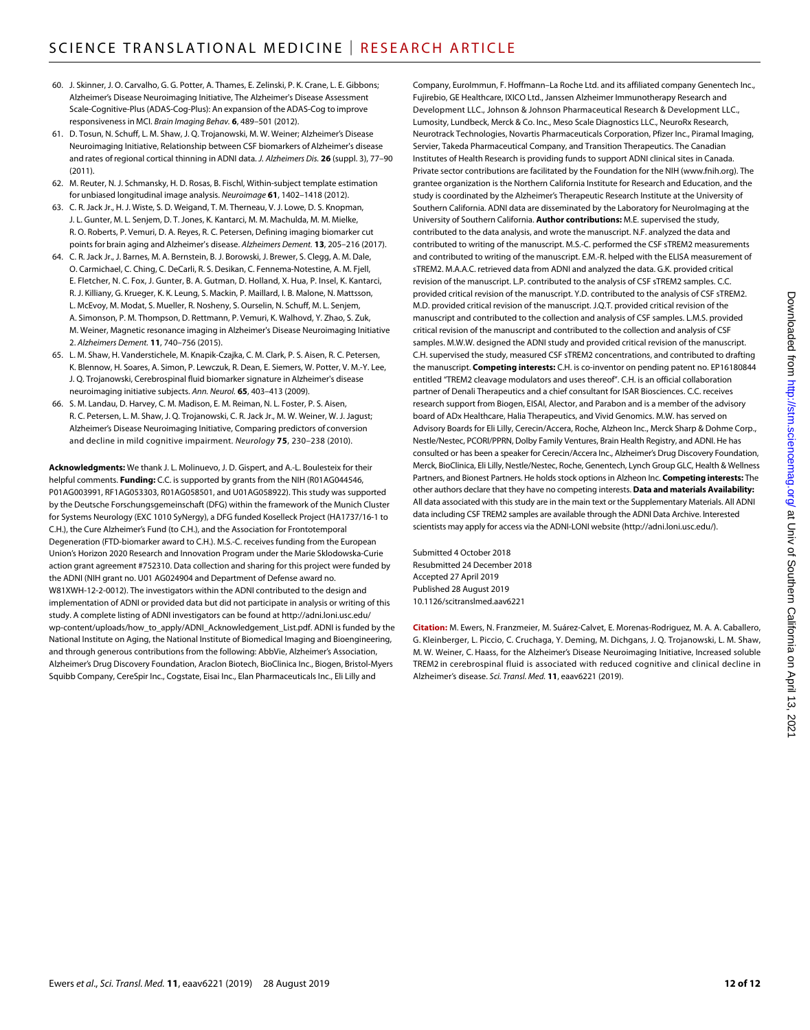- 60. J. Skinner, J. O. Carvalho, G. G. Potter, A. Thames, E. Zelinski, P. K. Crane, L. E. Gibbons; Alzheimer's Disease Neuroimaging Initiative, The Alzheimer's Disease Assessment Scale-Cognitive-Plus (ADAS-Cog-Plus): An expansion of the ADAS-Cog to improve responsiveness in MCI. *Brain Imaging Behav.* **6**, 489–501 (2012).
- 61. D. Tosun, N. Schuff, L. M. Shaw, J. Q. Trojanowski, M. W. Weiner; Alzheimer's Disease Neuroimaging Initiative, Relationship between CSF biomarkers of Alzheimer's disease and rates of regional cortical thinning in ADNI data. *J. Alzheimers Dis.* **26** (suppl. 3), 77–90  $(2011)$
- 62. M. Reuter, N. J. Schmansky, H. D. Rosas, B. Fischl, Within-subject template estimation for unbiased longitudinal image analysis. *Neuroimage* **61**, 1402–1418 (2012).
- 63. C. R. Jack Jr., H. J. Wiste, S. D. Weigand, T. M. Therneau, V. J. Lowe, D. S. Knopman, J. L. Gunter, M. L. Senjem, D. T. Jones, K. Kantarci, M. M. Machulda, M. M. Mielke, R. O. Roberts, P. Vemuri, D. A. Reyes, R. C. Petersen, Defining imaging biomarker cut points for brain aging and Alzheimer's disease. *Alzheimers Dement.* **13**, 205–216 (2017).
- 64. C. R. Jack Jr., J. Barnes, M. A. Bernstein, B. J. Borowski, J. Brewer, S. Clegg, A. M. Dale, O. Carmichael, C. Ching, C. DeCarli, R. S. Desikan, C. Fennema-Notestine, A. M. Fjell, E. Fletcher, N. C. Fox, J. Gunter, B. A. Gutman, D. Holland, X. Hua, P. Insel, K. Kantarci, R. J. Killiany, G. Krueger, K. K. Leung, S. Mackin, P. Maillard, I. B. Malone, N. Mattsson, L. McEvoy, M. Modat, S. Mueller, R. Nosheny, S. Ourselin, N. Schuff, M. L. Senjem, A. Simonson, P. M. Thompson, D. Rettmann, P. Vemuri, K. Walhovd, Y. Zhao, S. Zuk, M. Weiner, Magnetic resonance imaging in Alzheimer's Disease Neuroimaging Initiative 2. *Alzheimers Dement.* **11**, 740–756 (2015).
- 65. L. M. Shaw, H. Vanderstichele, M. Knapik-Czajka, C. M. Clark, P. S. Aisen, R. C. Petersen, K. Blennow, H. Soares, A. Simon, P. Lewczuk, R. Dean, E. Siemers, W. Potter, V. M.-Y. Lee, J. Q. Trojanowski, Cerebrospinal fluid biomarker signature in Alzheimer's disease neuroimaging initiative subjects. *Ann. Neurol.* **65**, 403–413 (2009).
- 66. S. M. Landau, D. Harvey, C. M. Madison, E. M. Reiman, N. L. Foster, P. S. Aisen, R. C. Petersen, L. M. Shaw, J. Q. Trojanowski, C. R. Jack Jr., M. W. Weiner, W. J. Jagust; Alzheimer's Disease Neuroimaging Initiative, Comparing predictors of conversion and decline in mild cognitive impairment. *Neurology* **75**, 230–238 (2010).

**Acknowledgments:** We thank J. L. Molinuevo, J. D. Gispert, and A.-L. Boulesteix for their helpful comments. **Funding:** C.C. is supported by grants from the NIH (R01AG044546, P01AG003991, RF1AG053303, R01AG058501, and U01AG058922). This study was supported by the Deutsche Forschungsgemeinschaft (DFG) within the framework of the Munich Cluster for Systems Neurology (EXC 1010 SyNergy), a DFG funded Koselleck Project (HA1737/16-1 to C.H.), the Cure Alzheimer's Fund (to C.H.), and the Association for Frontotemporal Degeneration (FTD-biomarker award to C.H.). M.S.-C. receives funding from the European Union's Horizon 2020 Research and Innovation Program under the Marie Sklodowska-Curie action grant agreement #752310. Data collection and sharing for this project were funded by the ADNI (NIH grant no. U01 AG024904 and Department of Defense award no. W81XWH-12-2-0012). The investigators within the ADNI contributed to the design and implementation of ADNI or provided data but did not participate in analysis or writing of this study. A complete listing of ADNI investigators can be found at [http://adni.loni.usc.edu/](http://adni.loni.usc.edu/wp-content/uploads/how_to_apply/ADNI_Acknowledgement_List.pdf) [wp-content/uploads/how\\_to\\_apply/ADNI\\_Acknowledgement\\_List.pdf.](http://adni.loni.usc.edu/wp-content/uploads/how_to_apply/ADNI_Acknowledgement_List.pdf) ADNI is funded by the National Institute on Aging, the National Institute of Biomedical Imaging and Bioengineering, and through generous contributions from the following: AbbVie, Alzheimer's Association, Alzheimer's Drug Discovery Foundation, Araclon Biotech, BioClinica Inc., Biogen, Bristol-Myers Squibb Company, CereSpir Inc., Cogstate, Eisai Inc., Elan Pharmaceuticals Inc., Eli Lilly and

Company, EuroImmun, F. Hoffmann–La Roche Ltd. and its affiliated company Genentech Inc., Fujirebio, GE Healthcare, IXICO Ltd., Janssen Alzheimer Immunotherapy Research and Development LLC., Johnson & Johnson Pharmaceutical Research & Development LLC., Lumosity, Lundbeck, Merck & Co. Inc., Meso Scale Diagnostics LLC., NeuroRx Research, Neurotrack Technologies, Novartis Pharmaceuticals Corporation, Pfizer Inc., Piramal Imaging, Servier, Takeda Pharmaceutical Company, and Transition Therapeutics. The Canadian Institutes of Health Research is providing funds to support ADNI clinical sites in Canada. Private sector contributions are facilitated by the Foundation for the NIH [\(www.fnih.org](http://www.fnih.org)). The grantee organization is the Northern California Institute for Research and Education, and the study is coordinated by the Alzheimer's Therapeutic Research Institute at the University of Southern California. ADNI data are disseminated by the Laboratory for NeuroImaging at the University of Southern California. **Author contributions:** M.E. supervised the study, contributed to the data analysis, and wrote the manuscript. N.F. analyzed the data and contributed to writing of the manuscript. M.S.-C. performed the CSF sTREM2 measurements and contributed to writing of the manuscript. E.M.-R. helped with the ELISA measurement of sTREM2. M.A.A.C. retrieved data from ADNI and analyzed the data. G.K. provided critical revision of the manuscript. L.P. contributed to the analysis of CSF sTREM2 samples. C.C. provided critical revision of the manuscript. Y.D. contributed to the analysis of CSF sTREM2. M.D. provided critical revision of the manuscript. J.Q.T. provided critical revision of the manuscript and contributed to the collection and analysis of CSF samples. L.M.S. provided critical revision of the manuscript and contributed to the collection and analysis of CSF samples. M.W.W. designed the ADNI study and provided critical revision of the manuscript. C.H. supervised the study, measured CSF sTREM2 concentrations, and contributed to drafting the manuscript. **Competing interests:** C.H. is co-inventor on pending patent no. EP16180844 entitled "TREM2 cleavage modulators and uses thereof". C.H. is an official collaboration partner of Denali Therapeutics and a chief consultant for ISAR Biosciences. C.C. receives research support from Biogen, EISAI, Alector, and Parabon and is a member of the advisory board of ADx Healthcare, Halia Therapeutics, and Vivid Genomics. M.W. has served on Advisory Boards for Eli Lilly, Cerecin/Accera, Roche, Alzheon Inc., Merck Sharp & Dohme Corp., Nestle/Nestec, PCORI/PPRN, Dolby Family Ventures, Brain Health Registry, and ADNI. He has consulted or has been a speaker for Cerecin/Accera Inc., Alzheimer's Drug Discovery Foundation, Merck, BioClinica, Eli Lilly, Nestle/Nestec, Roche, Genentech, Lynch Group GLC, Health & Wellness Partners, and Bionest Partners. He holds stock options in Alzheon Inc. **Competing interests:** The other authors declare that they have no competing interests. **Data and materials Availability:** All data associated with this study are in the main text or the Supplementary Materials. All ADNI data including CSF TREM2 samples are available through the ADNI Data Archive. Interested scientists may apply for access via the ADNI-LONI website [\(http://adni.loni.usc.edu/](http://adni.loni.usc.edu/)).

Submitted 4 October 2018 Resubmitted 24 December 2018 Accepted 27 April 2019 Published 28 August 2019 10.1126/scitranslmed.aav6221

**Citation:** M. Ewers, N. Franzmeier, M. Suárez-Calvet, E. Morenas-Rodriguez, M. A. A. Caballero, G. Kleinberger, L. Piccio, C. Cruchaga, Y. Deming, M. Dichgans, J. Q. Trojanowski, L. M. Shaw, M. W. Weiner, C. Haass, for the Alzheimer's Disease Neuroimaging Initiative, Increased soluble TREM2 in cerebrospinal fluid is associated with reduced cognitive and clinical decline in Alzheimer's disease. *Sci. Transl. Med.* **11**, eaav6221 (2019).